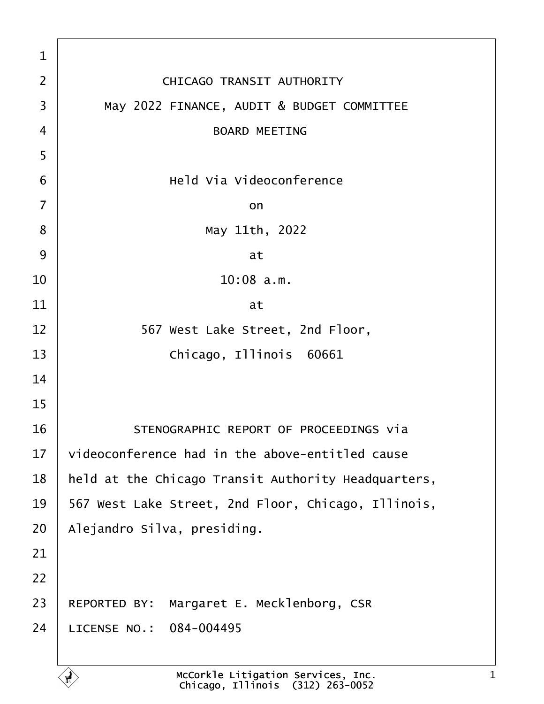| $\mathbf{1}$   |                                                     |
|----------------|-----------------------------------------------------|
| $\overline{2}$ | CHICAGO TRANSIT AUTHORITY                           |
| 3              | May 2022 FINANCE, AUDIT & BUDGET COMMITTEE          |
| $\overline{4}$ | <b>BOARD MEETING</b>                                |
| 5              |                                                     |
| 6              | Held Via Videoconference                            |
| $\overline{7}$ | on                                                  |
| 8              | May 11th, 2022                                      |
| 9              | at                                                  |
| 10             | $10:08$ a.m.                                        |
| 11             | at                                                  |
| 12             | 567 West Lake Street, 2nd Floor,                    |
| 13             | Chicago, Illinois 60661                             |
| 14             |                                                     |
| 15             |                                                     |
| 16             | STENOGRAPHIC REPORT OF PROCEEDINGS Via              |
| 17             | videoconference had in the above-entitled cause     |
| 18             | held at the Chicago Transit Authority Headquarters, |
| 19             | 567 West Lake Street, 2nd Floor, Chicago, Illinois, |
| 20             | Alejandro Silva, presiding.                         |
| 21             |                                                     |
| 22             |                                                     |
| 23             | REPORTED BY: Margaret E. Mecklenborg, CSR           |
| 24             | LICENSE NO.: 084-004495                             |
|                |                                                     |

Ē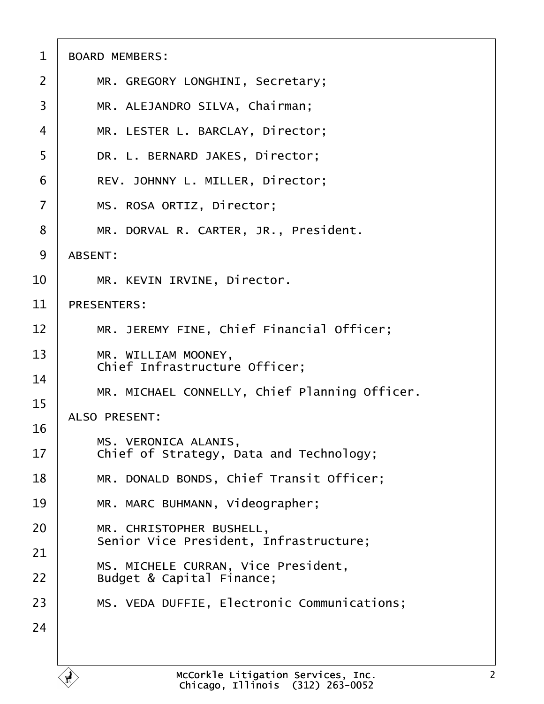| $\mathbf 1$    | <b>BOARD MEMBERS:</b>                                            |
|----------------|------------------------------------------------------------------|
| $\overline{2}$ | MR. GREGORY LONGHINI, Secretary;                                 |
| 3              | MR. ALEJANDRO SILVA, Chairman;                                   |
| $\overline{4}$ | MR. LESTER L. BARCLAY, Director;                                 |
| 5              | DR. L. BERNARD JAKES, Director;                                  |
| 6              | REV. JOHNNY L. MILLER, Director;                                 |
| $\overline{7}$ | MS. ROSA ORTIZ, Director;                                        |
| 8              | MR. DORVAL R. CARTER, JR., President.                            |
| 9              | ABSENT:                                                          |
| 10             | MR. KEVIN IRVINE, Director.                                      |
| 11             | <b>PRESENTERS:</b>                                               |
| 12             | MR. JEREMY FINE, Chief Financial Officer;                        |
| 13             | MR. WILLIAM MOONEY,<br>Chief Infrastructure Officer;             |
| 14<br>15       | MR. MICHAEL CONNELLY, Chief Planning Officer.                    |
| 16             | ALSO PRESENT:                                                    |
| 17             | MS. VERONICA ALANIS,<br>Chief of Strategy, Data and Technology;  |
| 18             | MR. DONALD BONDS, Chief Transit Officer;                         |
| 19             | MR. MARC BUHMANN, Videographer;                                  |
| 20             | MR. CHRISTOPHER BUSHELL,                                         |
| 21             | Senior Vice President, Infrastructure;                           |
| 22             | MS. MICHELE CURRAN, Vice President,<br>Budget & Capital Finance; |
| 23             | MS. VEDA DUFFIE, Electronic Communications;                      |
| 24             |                                                                  |
|                |                                                                  |

 $\mathbf{A}$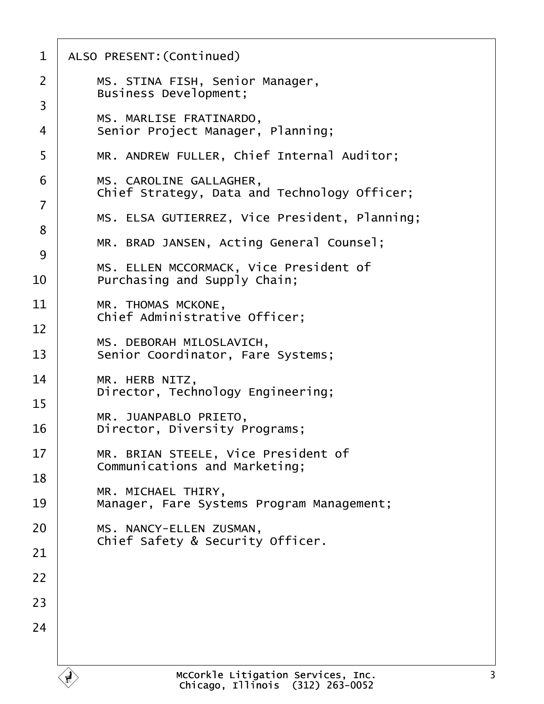| Chief Strategy, Data and Technology Officer;  |
|-----------------------------------------------|
| MS. ELSA GUTIERREZ, Vice President, Planning; |
|                                               |
|                                               |
|                                               |
|                                               |
|                                               |
|                                               |
|                                               |
|                                               |
|                                               |
|                                               |
|                                               |
|                                               |
|                                               |
|                                               |
|                                               |
|                                               |
|                                               |
|                                               |
|                                               |
|                                               |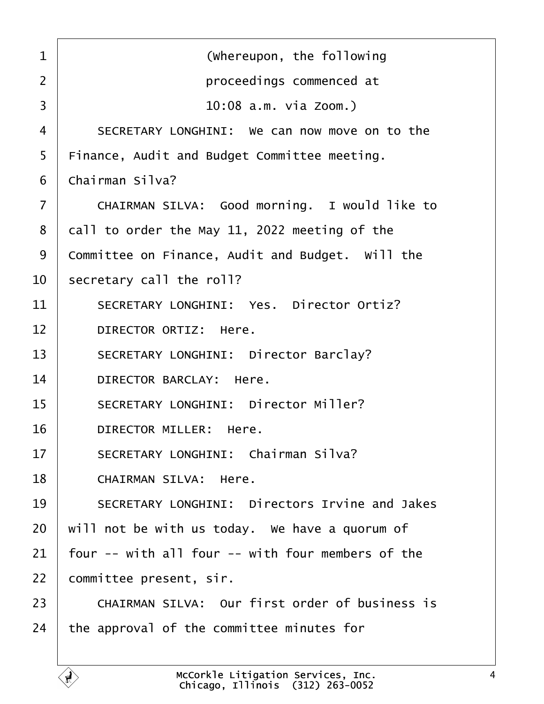<span id="page-3-0"></span>

| $\mathbf{1}$   | (whereupon, the following                         |
|----------------|---------------------------------------------------|
| $\overline{2}$ | proceedings commenced at                          |
| 3              | 10:08 a.m. via Zoom.)                             |
| $\overline{4}$ | SECRETARY LONGHINI: We can now move on to the     |
| 5              | Finance, Audit and Budget Committee meeting.      |
| 6              | Chairman Silva?                                   |
| $\overline{7}$ | CHAIRMAN SILVA: Good morning. I would like to     |
| 8              | call to order the May 11, 2022 meeting of the     |
| 9              | Committee on Finance, Audit and Budget. Will the  |
| 10             | secretary call the roll?                          |
| 11             | SECRETARY LONGHINI: Yes. Director Ortiz?          |
| 12             | DIRECTOR ORTIZ: Here.                             |
| 13             | SECRETARY LONGHINI: Director Barclay?             |
| 14             | DIRECTOR BARCLAY: Here.                           |
| 15             | SECRETARY LONGHINI: Director Miller?              |
| 16             | DIRECTOR MILLER: Here.                            |
| 17             | SECRETARY LONGHINI: Chairman Silva?               |
| 18             | CHAIRMAN SILVA: Here.                             |
| 19             | SECRETARY LONGHINI: Directors Irvine and Jakes    |
| 20             | will not be with us today. We have a quorum of    |
| 21             | four -- with all four -- with four members of the |
| 22             | committee present, sir.                           |
| 23             | CHAIRMAN SILVA: Our first order of business is    |
| 24             | the approval of the committee minutes for         |
|                |                                                   |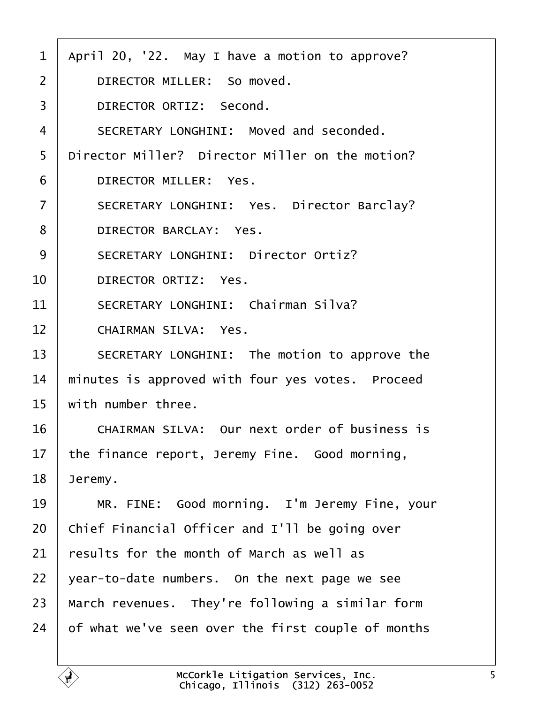<span id="page-4-0"></span>

| $\mathbf{1}$   | April 20, '22. May I have a motion to approve?     |
|----------------|----------------------------------------------------|
| $\overline{2}$ | DIRECTOR MILLER: So moved.                         |
| 3              | DIRECTOR ORTIZ: Second.                            |
| 4              | SECRETARY LONGHINI: Moved and seconded.            |
| 5              | Director Miller? Director Miller on the motion?    |
| 6              | DIRECTOR MILLER: Yes.                              |
| $\overline{7}$ | SECRETARY LONGHINI: Yes. Director Barclay?         |
| 8              | DIRECTOR BARCLAY: Yes.                             |
| 9              | SECRETARY LONGHINI: Director Ortiz?                |
| 10             | DIRECTOR ORTIZ: Yes.                               |
| 11             | SECRETARY LONGHINI: Chairman Silva?                |
| 12             | CHAIRMAN SILVA: Yes.                               |
| 13             | SECRETARY LONGHINI: The motion to approve the      |
| 14             | minutes is approved with four yes votes. Proceed   |
| 15             | with number three.                                 |
| 16             | CHAIRMAN SILVA: Our next order of business is      |
| 17             | the finance report, Jeremy Fine. Good morning,     |
| 18             | Jeremy.                                            |
| 19             | MR. FINE: Good morning. I'm Jeremy Fine, your      |
| 20             | Chief Financial Officer and I'll be going over     |
| 21             | results for the month of March as well as          |
| 22             | year-to-date numbers. On the next page we see      |
| 23             | March revenues. They're following a similar form   |
| 24             | of what we've seen over the first couple of months |
|                |                                                    |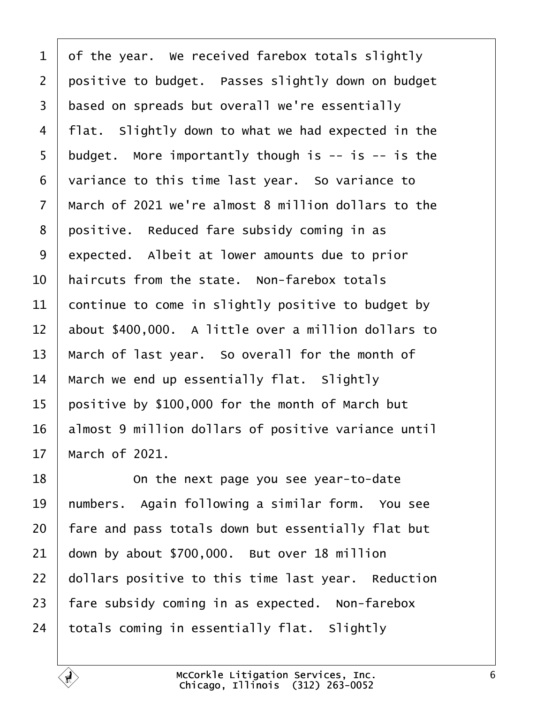<span id="page-5-0"></span> of the year. We received farebox totals slightly 2 positive to budget. Passes slightly down on budget 3 based on spreads but overall we're essentially | flat. Slightly down to what we had expected in the budget. More importantly though is  $-$  is  $-$  is the  $\vert$  variance to this time last year. So variance to  $\mid$  March of 2021 we're almost 8 million dollars to the positive. Reduced fare subsidy coming in as 9 expected. Albeit at lower amounts due to prior  $\vert$  haircuts from the state. Non-farebox totals continue to come in slightly positive to budget by about \$400,000. A little over a million dollars to | March of last year. So overall for the month of | March we end up essentially flat. Slightly positive by \$100,000 for the month of March but 16 | almost 9 million dollars of positive variance until | March of 2021.

18· · · · · · On the next page you see year-to-date 19 | numbers. Again following a similar form. You see | fare and pass totals down but essentially flat but down by about \$700,000. But over 18 million dollars positive to this time last year. Reduction | fare subsidy coming in as expected. Non-farebox totals coming in essentially flat. Slightly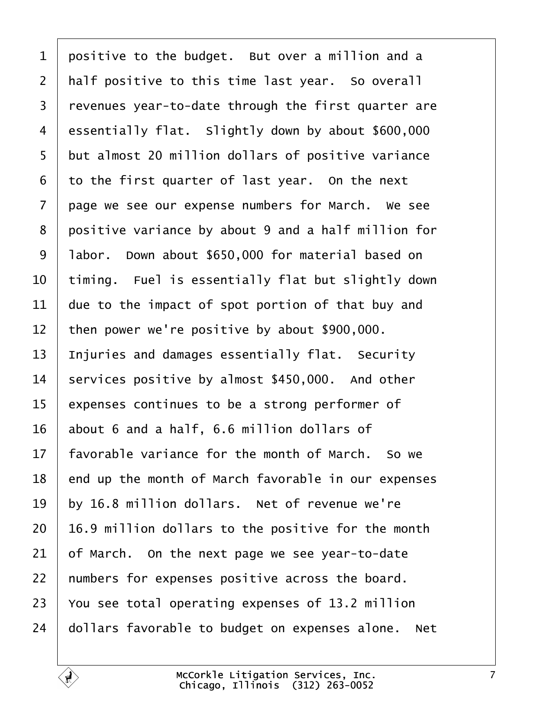<span id="page-6-0"></span> positive to the budget. But over a million and a | half positive to this time last year. So overall  $\vert$  revenues year-to-date through the first quarter are 4 essentially flat. Slightly down by about \$600,000 5 but almost 20 million dollars of positive variance to the first quarter of last year. On the next  $\vert$  page we see our expense numbers for March. We see 8 positive variance by about 9 and a half million for 9 | labor. Down about \$650,000 for material based on  $\vert$  timing. Fuel is essentially flat but slightly down  $\vert$  due to the impact of spot portion of that buy and 12 | then power we're positive by about  $$900,000$ . | Injuries and damages essentially flat. Security services positive by almost \$450,000. And other expenses continues to be a strong performer of about 6 and a half, 6.6 million dollars of | favorable variance for the month of March. So we end up the month of March favorable in our expenses  $\vert$  by 16.8 million dollars. Net of revenue we're | 16.9 million dollars to the positive for the month of March. On the next page we see year-to-date | numbers for expenses positive across the board.  $\vert$  You see total operating expenses of 13.2 million dollars favorable to budget on expenses alone. Net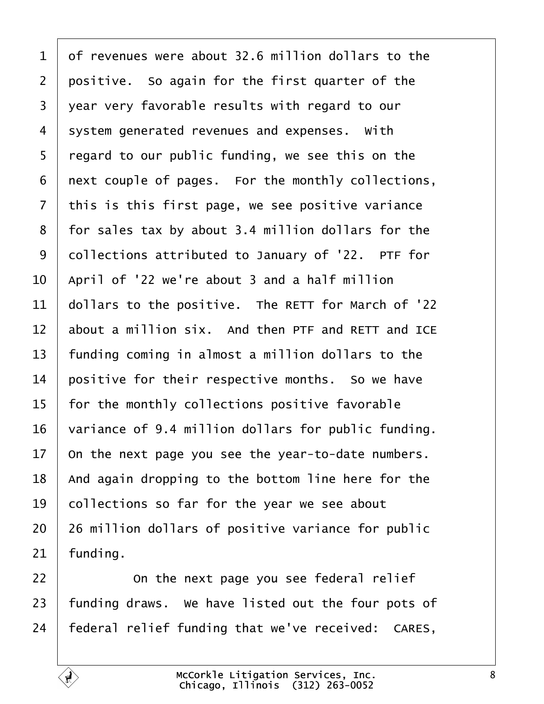<span id="page-7-0"></span> of revenues were about 32.6 million dollars to the positive. So again for the first quarter of the 3 year very favorable results with regard to our system generated revenues and expenses. With | regard to our public funding, we see this on the | next couple of pages. For the monthly collections, this is this first page, we see positive variance 8 | for sales tax by about 3.4 million dollars for the 9 | collections attributed to January of '22. PTF for  $\vert$  April of '22 we're about 3 and a half million dollars to the positive. The RETT for March of '22 about a million six. And then PTF and RETT and ICE | funding coming in almost a million dollars to the  $\vert$  positive for their respective months. So we have  $\mid$  for the monthly collections positive favorable variance of 9.4 million dollars for public funding. on the next page you see the year-to-date numbers. | And again dropping to the bottom line here for the  $\vert$  collections so far for the year we see about | 26 million dollars of positive variance for public funding.

**I On the next page you see federal relief**  funding draws. We have listed out the four pots of | federal relief funding that we've received: CARES,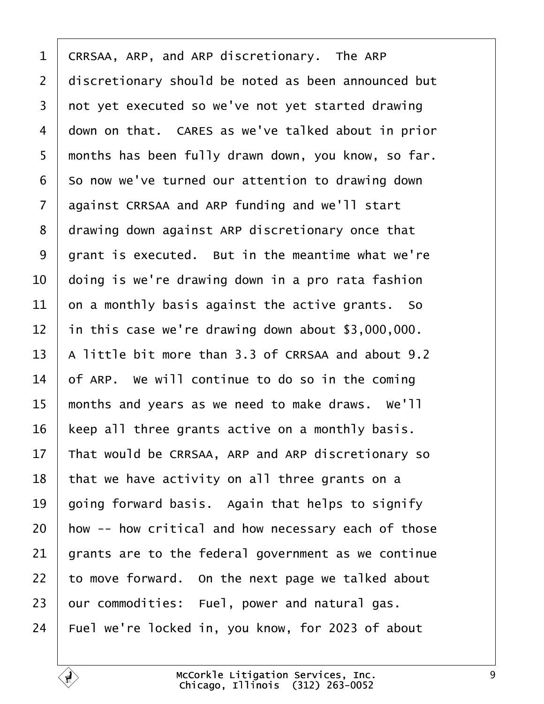<span id="page-8-0"></span>1 | CRRSAA, ARP, and ARP discretionary. The ARP 2 discretionary should be noted as been announced but 3 | not yet executed so we've not yet started drawing 4 down on that. CARES as we've talked about in prior 5 | months has been fully drawn down, you know, so far. so now we've turned our attention to drawing down 7 against CRRSAA and ARP funding and we'll start 8 drawing down against ARP discretionary once that arant is executed. But in the meantime what we're  $\vert$  doing is we're drawing down in a pro rata fashion on a monthly basis against the active grants. So in this case we're drawing down about \$3,000,000.  $\vert$  A little bit more than 3.3 of CRRSAA and about 9.2 of ARP. We will continue to do so in the coming  $\parallel$  months and years as we need to make draws. We'll | keep all three grants active on a monthly basis.  $\parallel$  That would be CRRSAA, ARP and ARP discretionary so that we have activity on all three grants on a  $\vert$  going forward basis. Again that helps to signify  $\vert$  how  $-$  how critical and how necessary each of those grants are to the federal government as we continue to move forward. On the next page we talked about our commodities: Fuel, power and natural gas. | Fuel we're locked in, you know, for 2023 of about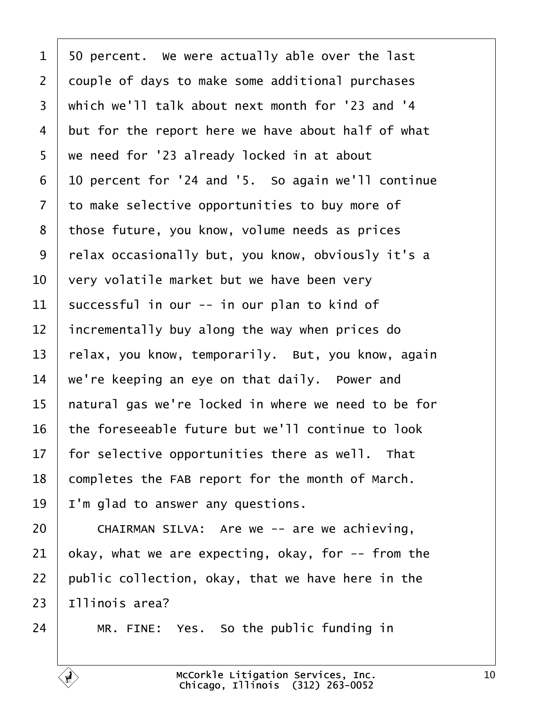<span id="page-9-0"></span> $1 \mid 50$  percent. We were actually able over the last 2 couple of days to make some additional purchases 3 | which we'll talk about next month for '23 and '4 but for the report here we have about half of what 5 | we need for '23 already locked in at about | 10 percent for '24 and '5. So again we'll continue 7 to make selective opportunities to buy more of 8 those future, you know, volume needs as prices 9 | relax occasionally but, you know, obviously it's a  $\vert$  very volatile market but we have been very successful in our -- in our plan to kind of incrementally buy along the way when prices do  $\vert$  relax, you know, temporarily. But, you know, again  $\vert$  we're keeping an eye on that daily. Power and | natural gas we're locked in where we need to be for  $\vert$  the foreseeable future but we'll continue to look  $\vert$  for selective opportunities there as well. That completes the FAB report for the month of March. | I'm glad to answer any questions.  $\vert$  CHAIRMAN SILVA: Are we -- are we achieving,

21 | okay, what we are expecting, okay, for  $-$ - from the public collection, okay, that we have here in the Illinois area?

| MR. FINE: Yes. So the public funding in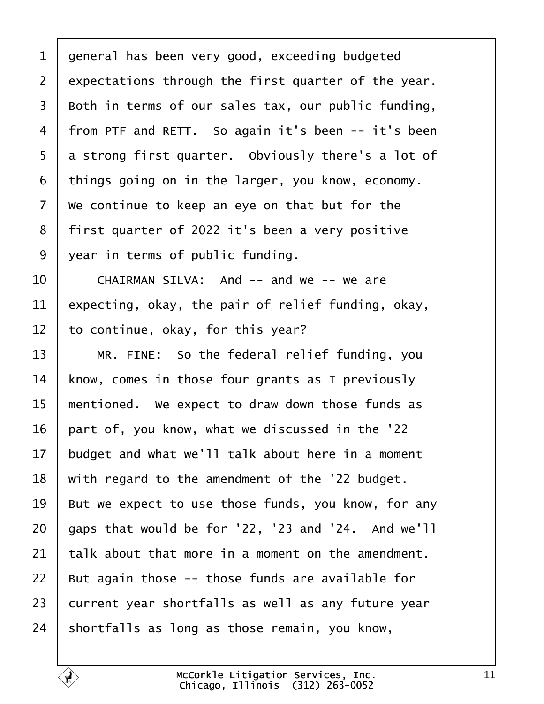<span id="page-10-0"></span> general has been very good, exceeding budgeted expectations through the first quarter of the year. Both in terms of our sales tax, our public funding, 4 | from PTF and RETT. So again it's been -- it's been 5 a strong first quarter. Obviously there's a lot of things going on in the larger, you know, economy.  $\vert$  We continue to keep an eye on that but for the 8 | first quarter of 2022 it's been a very positive 9 vear in terms of public funding.

  $\blacksquare$  CHAIRMAN SILVA: And -- and we -- we are 11 expecting, okay, the pair of relief funding, okay, to continue, okay, for this year?

13 | MR. FINE: So the federal relief funding, you know, comes in those four grants as I previously | mentioned. We expect to draw down those funds as part of, you know, what we discussed in the '22 budget and what we'll talk about here in a moment with regard to the amendment of the '22 budget. 19 | But we expect to use those funds, you know, for any | gaps that would be for '22, '23 and '24. And we'll talk about that more in a moment on the amendment. | But again those -- those funds are available for 23 current year shortfalls as well as any future year shortfalls as long as those remain, you know,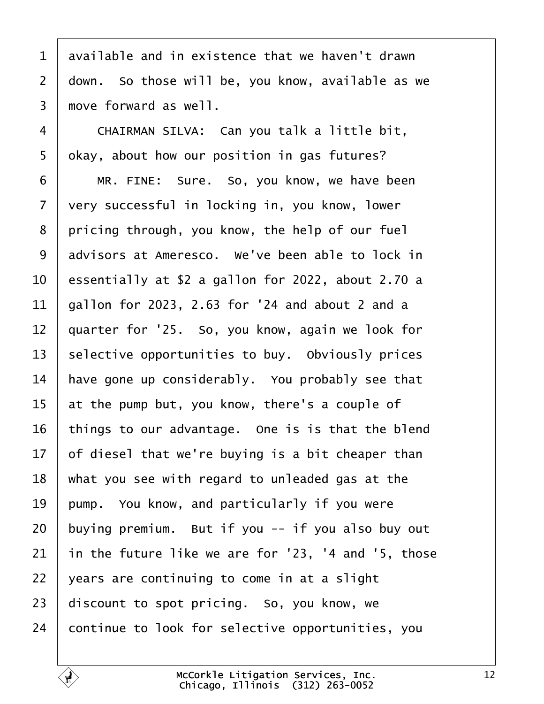<span id="page-11-0"></span> available and in existence that we haven't drawn down. So those will be, you know, available as we  $3 \mid$  move forward as well.

4 | CHAIRMAN SILVA: Can you talk a little bit,  $\vert$  okay, about how our position in gas futures?

6 | MR. FINE: Sure. So, you know, we have been 7 very successful in locking in, you know, lower | pricing through, you know, the help of our fuel 9 advisors at Ameresco. We've been able to lock in  $\vert$  essentially at \$2 a gallon for 2022, about 2.70 a | gallon for 2023, 2.63 for '24 and about 2 and a | quarter for '25. So, you know, again we look for selective opportunities to buy. Obviously prices have gone up considerably. You probably see that  $\vert$  at the pump but, you know, there's a couple of things to our advantage. One is is that the blend  $\vert$  of diesel that we're buying is a bit cheaper than  $\mid$  what you see with regard to unleaded gas at the | pump. You know, and particularly if you were buying premium. But if you  $-$  if you also buy out in the future like we are for '23, '4 and '5, those | years are continuing to come in at a slight discount to spot pricing. So, you know, we continue to look for selective opportunities, you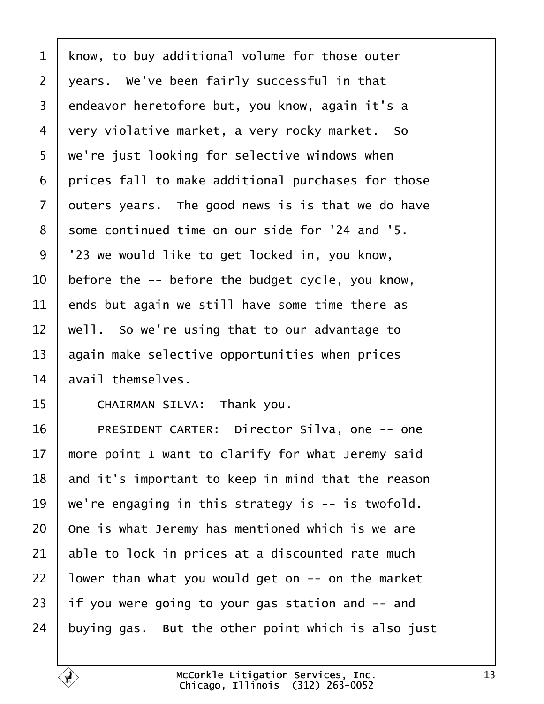<span id="page-12-0"></span> know, to buy additional volume for those outer | years. We've been fairly successful in that 3 endeavor heretofore but, you know, again it's a 4 very violative market, a very rocky market. So 5 | we're just looking for selective windows when | prices fall to make additional purchases for those outers years. The good news is is that we do have 8 some continued time on our side for '24 and '5. 9 | '23 we would like to get locked in, you know, before the  $-$  before the budget cycle, you know, ends but again we still have some time there as | well. So we're using that to our advantage to again make selective opportunities when prices avail themselves.

15 CHAIRMAN SILVA: Thank you.

16 | PRESIDENT CARTER: Director Silva, one -- one  $\parallel$  more point I want to clarify for what Jeremy said and it's important to keep in mind that the reason  $\vert$  we're engaging in this strategy is -- is twofold.  $\vert$  One is what Jeremy has mentioned which is we are able to lock in prices at a discounted rate much | lower than what you would get on  $-$  on the market if you were going to your gas station and  $-$  and buying gas. But the other point which is also just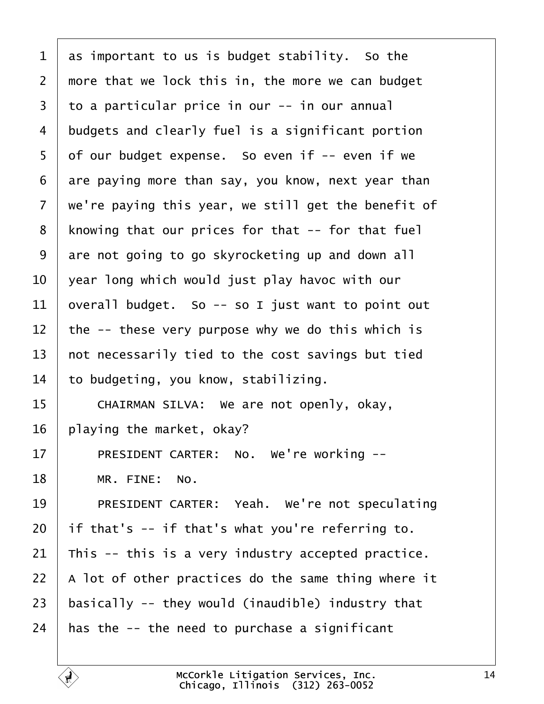<span id="page-13-0"></span> as important to us is budget stability. So the  $2 \mid$  more that we lock this in, the more we can budget  $\vert$  to a particular price in our -- in our annual 4 budgets and clearly fuel is a significant portion of our budget expense. So even if  $-$  even if we are paying more than say, you know, next year than  $\vert$  we're paying this year, we still get the benefit of | knowing that our prices for that  $-$ - for that fuel are not going to go skyrocketing up and down all  $\vert$  year long which would just play havoc with our 11 | overall budget. So  $-$  so I just want to point out  $\vert$  the -- these very purpose why we do this which is  $\vert$  not necessarily tied to the cost savings but tied to budgeting, you know, stabilizing. 15 CHAIRMAN SILVA: We are not openly, okay, 16 | playing the market, okay? 17 | PRESIDENT CARTER: No. We're working --18 | MR. FINE: No. 19 PRESIDENT CARTER: Yeah. We're not speculating if that's  $-$  if that's what you're referring to. 21 This  $-$  this is a very industry accepted practice.  $\vert$  A lot of other practices do the same thing where it  $\vert$  basically -- they would (inaudible) industry that  $\parallel$  has the -- the need to purchase a significant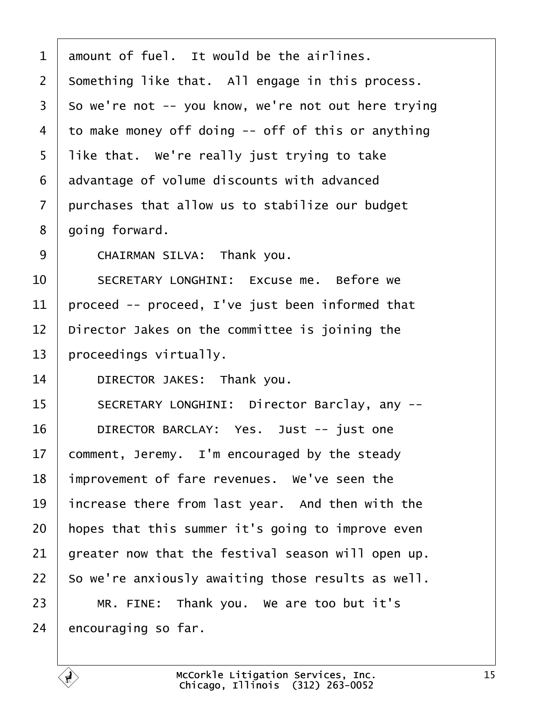<span id="page-14-0"></span> amount of fuel. It would be the airlines. something like that. All engage in this process. so we're not -- you know, we're not out here trying 4 to make money off doing  $-$  off of this or anything | like that. We're really just trying to take advantage of volume discounts with advanced purchases that allow us to stabilize our budget 8 | going forward. 9 CHAIRMAN SILVA: Thank you. 10 SECRETARY LONGHINI: Fxcuse me. Before we proceed -- proceed, I've just been informed that  $\vert$  Director Jakes on the committee is joining the | proceedings virtually. 14 DIRECTOR JAKES: Thank you. 15 | SECRETARY LONGHINI: Director Barclay, any --16 | DIRECTOR BARCLAY: Yes. Just -- just one comment, Jeremy. I'm encouraged by the steady | improvement of fare revenues. We've seen the increase there from last year. And then with the | hopes that this summer it's going to improve even greater now that the festival season will open up. | So we're anxiously awaiting those results as well. MR. FINE: Thank you. We are too but it's encouraging so far.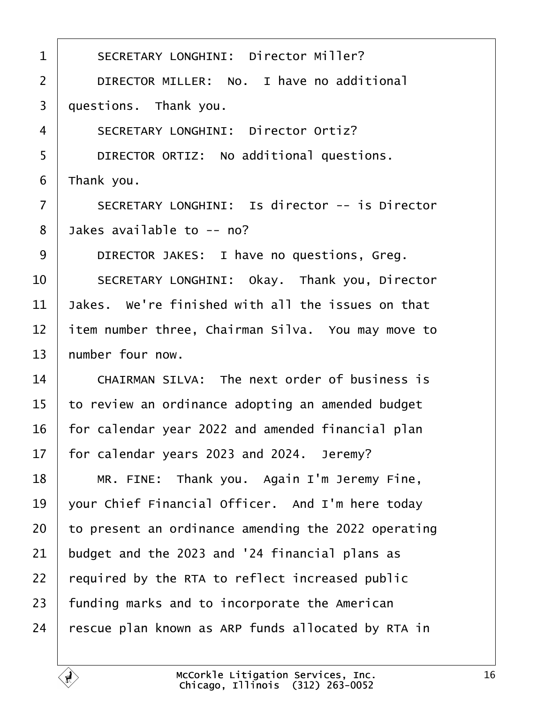<span id="page-15-0"></span>1 | SECRETARY LONGHINI: Director Miller? 2 DIRECTOR MILLER: No. I have no additional  $3 \mid$  questions. Thank you. 4 SECRETARY LONGHINI: Director Ortiz? 5 DIRECTOR ORTIZ: No additional questions.  $6$  | Thank you. 7 | SECRETARY LONGHINI: Is director -- is Director  $8$  Jakes available to  $-$  no? 9 DIRECTOR JAKES: I have no questions, Greg. 10 SECRETARY LONGHINI: Okay. Thank you, Director 11  $\vert$  Jakes. We're finished with all the issues on that 12 item number three, Chairman Silva. You may move to  $13$  number four now.  $14$   $\blacksquare$  CHATRMAN STIVA: The next order of business is  $15$  to review an ordinance adopting an amended budget  $16$  | for calendar year 2022 and amended financial plan  $17$  | for calendar years 2023 and 2024. Jeremy? 18 | MR. FINE: Thank you. Again I'm Jeremy Fine, 19 vour Chief Financial Officer. And I'm here today 20  $\vert$  to present an ordinance amending the 2022 operating  $21$  budget and the 2023 and '24 financial plans as  $22$  | required by the RTA to reflect increased public  $23$  | funding marks and to incorporate the American  $24$  rescue plan known as ARP funds allocated by RTA in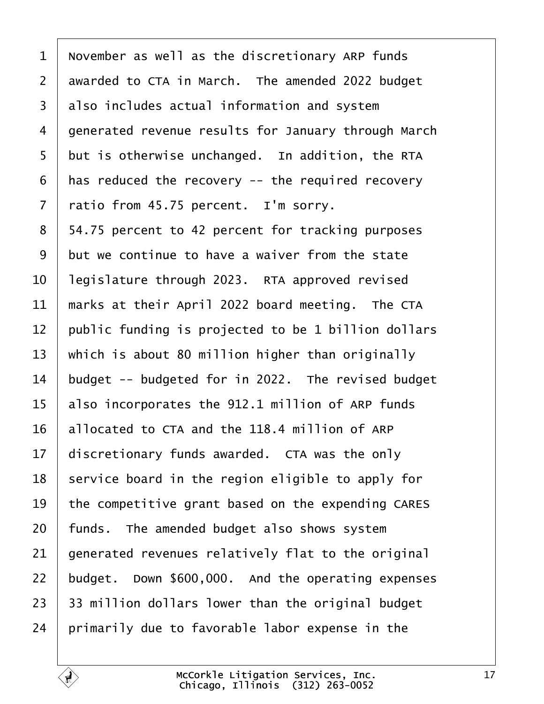<span id="page-16-0"></span> November as well as the discretionary ARP funds awarded to CTA in March. The amended 2022 budget 3 also includes actual information and system 4 generated revenue results for January through March but is otherwise unchanged. In addition, the RTA has reduced the recovery  $-$  the required recovery ratio from 45.75 percent. I'm sorry. 8 | 54.75 percent to 42 percent for tracking purposes but we continue to have a waiver from the state | legislature through 2023. RTA approved revised  $\parallel$  marks at their April 2022 board meeting. The CTA public funding is projected to be 1 billion dollars  $\vert$  which is about 80 million higher than originally budget -- budgeted for in 2022. The revised budget  $\vert$  also incorporates the 912.1 million of ARP funds allocated to CTA and the 118.4 million of ARP discretionary funds awarded. CTA was the only service board in the region eligible to apply for  $\parallel$  the competitive grant based on the expending CARES | funds. The amended budget also shows system  $\vert$  generated revenues relatively flat to the original budget. Down \$600,000. And the operating expenses | 33 million dollars lower than the original budget | primarily due to favorable labor expense in the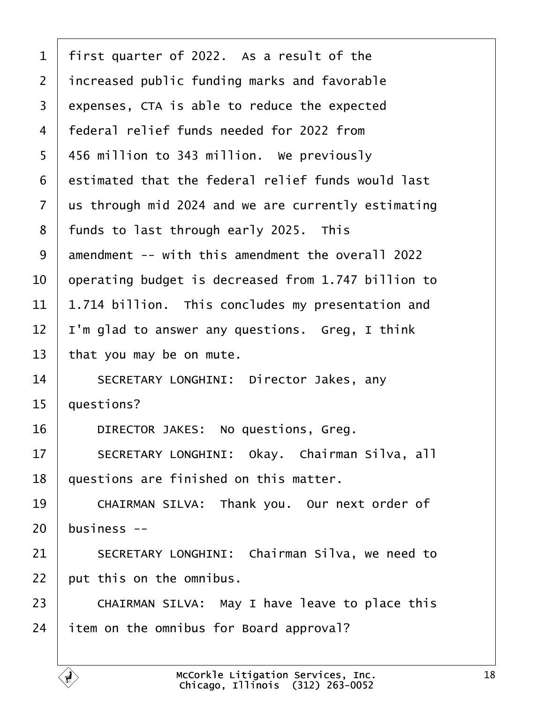<span id="page-17-0"></span>

| $\mathbf{1}$   | first quarter of 2022. As a result of the           |
|----------------|-----------------------------------------------------|
| $\overline{2}$ | increased public funding marks and favorable        |
| 3              | expenses, CTA is able to reduce the expected        |
| $\overline{4}$ | federal relief funds needed for 2022 from           |
| 5              | 456 million to 343 million. We previously           |
| 6              | estimated that the federal relief funds would last  |
| $\overline{7}$ | us through mid 2024 and we are currently estimating |
| 8              | funds to last through early 2025. This              |
| 9              | amendment -- with this amendment the overall 2022   |
| 10             | operating budget is decreased from 1.747 billion to |
| 11             | 1.714 billion. This concludes my presentation and   |
| 12             | I'm glad to answer any questions. Greg, I think     |
| 13             | that you may be on mute.                            |
| 14             | SECRETARY LONGHINI: Director Jakes, any             |
| 15             | questions?                                          |
| 16             | DIRECTOR JAKES: No questions, Greg.                 |
| 17             | SECRETARY LONGHINI: Okay. Chairman Silva, all       |
| 18             | questions are finished on this matter.              |
| 19             | CHAIRMAN SILVA: Thank you. Our next order of        |
| 20             | business $-$                                        |
| 21             | SECRETARY LONGHINI: Chairman Silva, we need to      |
| 22             | put this on the omnibus.                            |
| 23             | CHAIRMAN SILVA: May I have leave to place this      |
| 24             | item on the omnibus for Board approval?             |
|                |                                                     |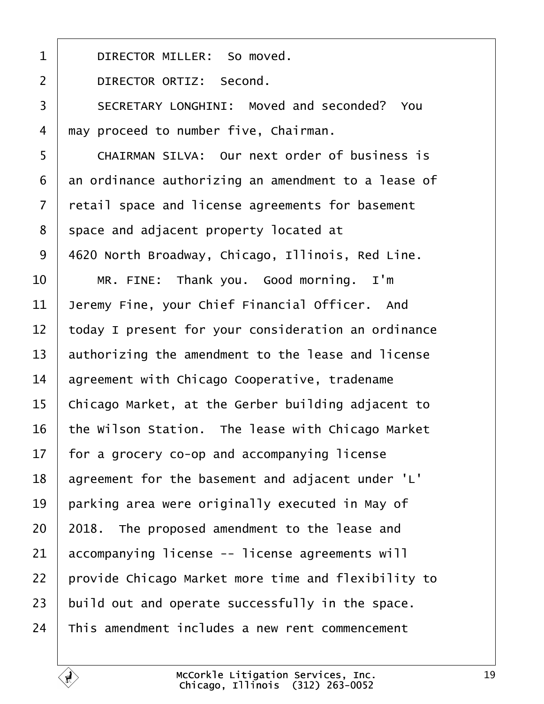<span id="page-18-0"></span>1 DIRECTOR MILLER: So moved. 2 DIRECTOR ORTIZ: Second. 3 | SECRETARY LONGHINI: Moved and seconded? You 4 may proceed to number five, Chairman. 5 CHAIRMAN SILVA: Our next order of business is  $6$  an ordinance authorizing an amendment to a lease of 7 | retail space and license agreements for basement 8 space and adjacent property located at 9 | 4620 North Broadway, Chicago, Illinois, Red Line. 10 MR. FINE: Thank you. Good morning. I'm  $11$  Jeremy Fine, your Chief Financial Officer. And  $12$   $\parallel$  today I present for your consideration an ordinance  $13$  authorizing the amendment to the lease and license  $14$  agreement with Chicago Cooperative, tradename 15  $\vert$  Chicago Market, at the Gerber building adjacent to 16  $\parallel$  the Wilson Station. The lease with Chicago Market  $17$  | for a grocery co-op and accompanying license 18 agreement for the basement and adjacent under 'L'  $19$  | parking area were originally executed in May of  $20$  | 2018. The proposed amendment to the lease and  $21$  accompanying license -- license agreements will 22 | provide Chicago Market more time and flexibility to  $23$  build out and operate successfully in the space.  $24$  This amendment includes a new rent commencement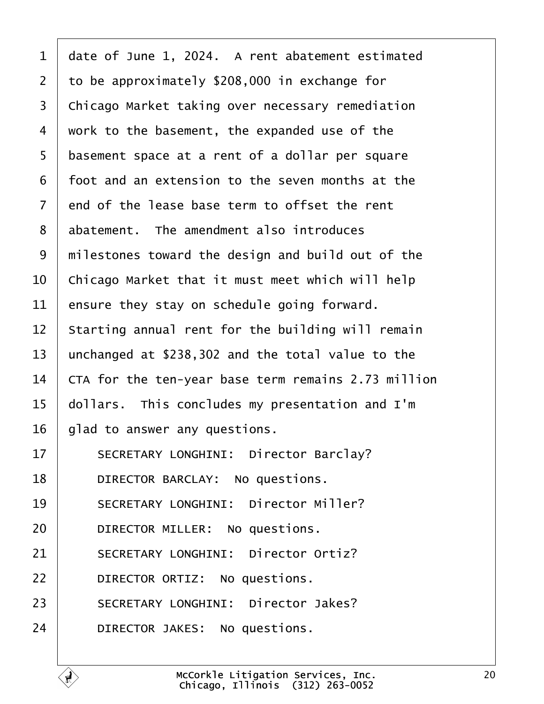<span id="page-19-0"></span> $1$  date of June 1, 2024. A rent abatement estimated 2 to be approximately  $$208,000$  in exchange for 3 | Chicago Market taking over necessary remediation  $4$   $\mid$  work to the basement, the expanded use of the 5 basement space at a rent of a dollar per square  $6$  | foot and an extension to the seven months at the  $7$   $\vert$  end of the lease base term to offset the rent  $8$  abatement. The amendment also introduces 9 | milestones toward the design and build out of the  $10$   $\vert$  Chicago Market that it must meet which will help  $11$  ensure they stay on schedule going forward.  $12$  starting annual rent for the building will remain 13  $\vert$  unchanged at \$238,302 and the total value to the  $14$   $\mid$  CTA for the ten-year base term remains 2.73 million  $15$  | dollars. This concludes my presentation and I'm  $16$  | glad to answer any questions. 17 | SECRETARY LONGHINI: Director Barclay? 18 | DIRECTOR BARCLAY: No questions. 19 SECRETARY LONGHINI: Director Miller? 20 **DIRECTOR MILLER:** No questions. 21 SECRETARY LONGHINI: Director Ortiz? 22 **DIRECTOR ORTIZ:** No questions. 23 SECRETARY LONGHINI: Director Jakes? 24 DIRECTOR JAKES: No questions.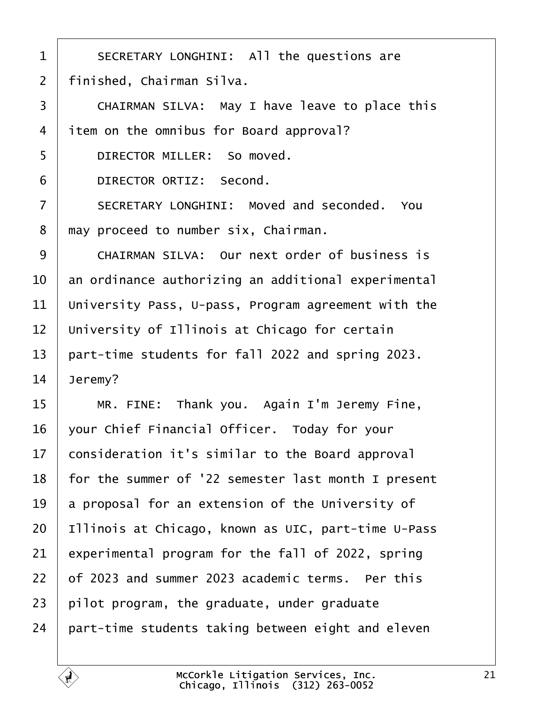<span id="page-20-0"></span>1 SECRETARY LONGHINI: All the questions are  $2$  | finished, Chairman Silva. 3 CHAIRMAN SILVA: May I have leave to place this  $4$  item on the omnibus for Board approval? 5 DIRECTOR MILLER: So moved. 6 DIRECTOR ORTIZ: Second. 7 SECRETARY LONGHINI: Moved and seconded. You  $8$  | may proceed to number six, Chairman. 9 CHAIRMAN SILVA: Our next order of business is  $10$   $\vert$  an ordinance authorizing an additional experimental 11 University Pass, U-pass, Program agreement with the  $12$   $\mid$  University of Illinois at Chicago for certain 13  $\vert$  part-time students for fall 2022 and spring 2023.  $14$  Jeremy? 15 | MR. FINE: Thank you. Again I'm Jeremy Fine, 16 | your Chief Financial Officer. Today for your  $17$  consideration it's similar to the Board approval  $18$  | for the summer of '22 semester last month I present 19  $\vert$  a proposal for an extension of the University of 20 | Illinois at Chicago, known as UIC, part-time U-Pass  $21$  experimental program for the fall of 2022, spring  $22$   $\vert$  of 2023 and summer 2023 academic terms. Per this  $23$  pilot program, the graduate, under graduate  $24$  part-time students taking between eight and eleven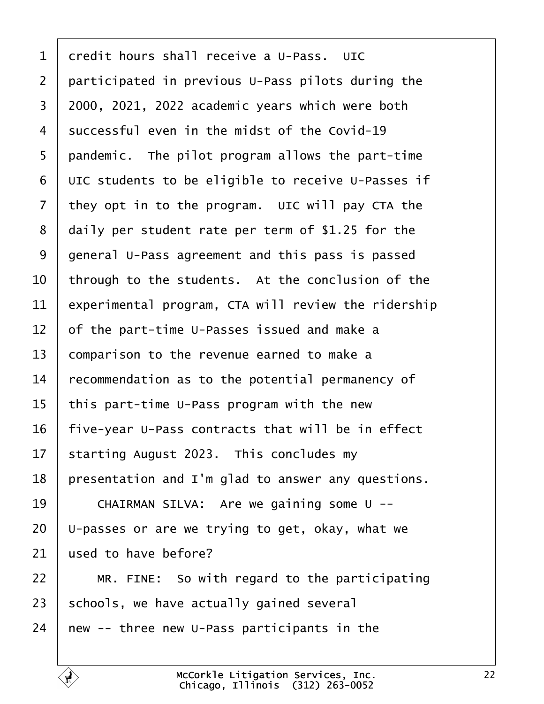<span id="page-21-0"></span> credit hours shall receive a U-Pass. UIC 2 | participated in previous U-Pass pilots during the  $\mid$  2000, 2021, 2022 academic years which were both successful even in the midst of the Covid-19 | pandemic. The pilot program allows the part-time UIC students to be eligible to receive U-Passes if they opt in to the program. UIC will pay CTA the daily per student rate per term of \$1.25 for the 9 general U-Pass agreement and this pass is passed  $\vert$  through to the students. At the conclusion of the experimental program, CTA will review the ridership  $\vert$  of the part-time U-Passes issued and make a comparison to the revenue earned to make a recommendation as to the potential permanency of | this part-time U-Pass program with the new | five-year U-Pass contracts that will be in effect starting August 2023. This concludes my 18 | presentation and I'm glad to answer any questions. 19 | CHAIRMAN SILVA: Are we gaining some U -- | U-passes or are we trying to get, okay, what we used to have before? | MR. FINE: So with regard to the participating schools, we have actually gained several new -- three new U-Pass participants in the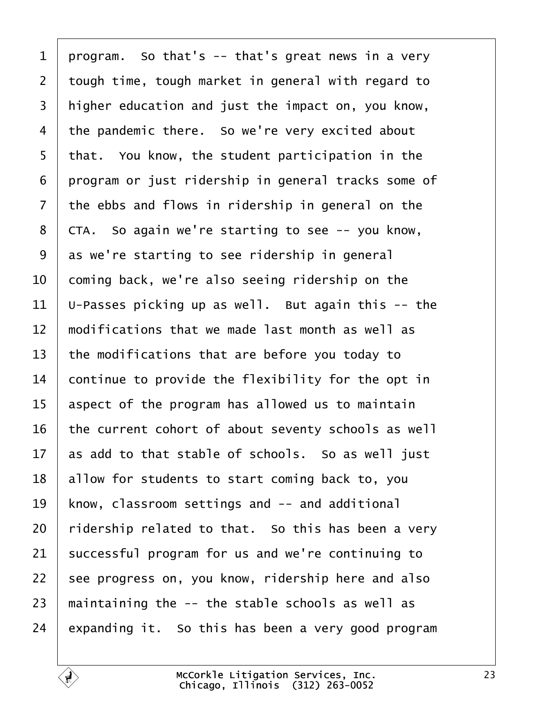<span id="page-22-0"></span>1 | program. So that's  $-$  that's great news in a very  $\vert$  tough time, tough market in general with regard to 3 | higher education and just the impact on, you know, the pandemic there. So we're very excited about | that. You know, the student participation in the program or just ridership in general tracks some of the ebbs and flows in ridership in general on the | CTA. So again we're starting to see  $-$ - you know, as we're starting to see ridership in general  $\vert$  coming back, we're also seeing ridership on the  $\vert$  U-Passes picking up as well. But again this -- the  $\parallel$  modifications that we made last month as well as the modifications that are before you today to continue to provide the flexibility for the opt in aspect of the program has allowed us to maintain the current cohort of about seventy schools as well as add to that stable of schools. So as well just allow for students to start coming back to, you know, classroom settings and  $-$  and additional ridership related to that. So this has been a very successful program for us and we're continuing to see progress on, you know, ridership here and also  $\parallel$  maintaining the -- the stable schools as well as expanding it. So this has been a very good program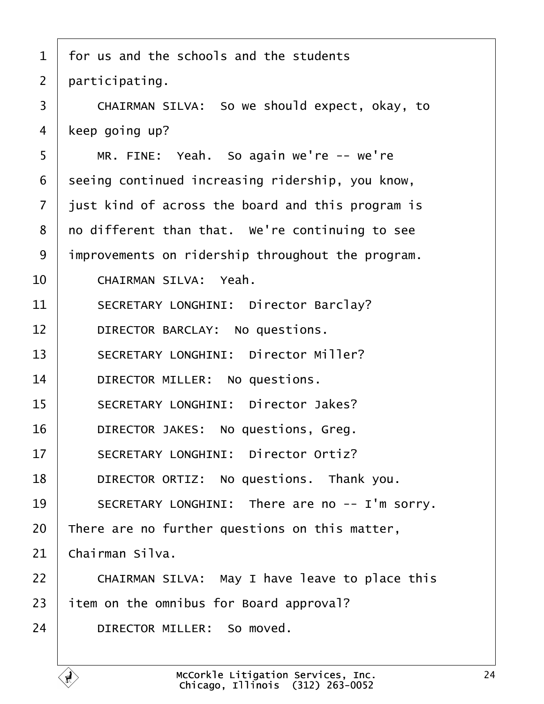<span id="page-23-0"></span>

| $\mathbf 1$    | for us and the schools and the students           |
|----------------|---------------------------------------------------|
| $\overline{2}$ | participating.                                    |
| 3              | CHAIRMAN SILVA: So we should expect, okay, to     |
| 4              | keep going up?                                    |
| 5              | MR. FINE: Yeah. So again we're -- we're           |
| 6              | seeing continued increasing ridership, you know,  |
| $\overline{7}$ | just kind of across the board and this program is |
| 8              | no different than that. We're continuing to see   |
| 9              | improvements on ridership throughout the program. |
| 10             | CHAIRMAN SILVA: Yeah.                             |
| 11             | SECRETARY LONGHINI: Director Barclay?             |
| 12             | DIRECTOR BARCLAY: No questions.                   |
| 13             | SECRETARY LONGHINI: Director Miller?              |
| 14             | DIRECTOR MILLER: No questions.                    |
| 15             | SECRETARY LONGHINI: Director Jakes?               |
| 16             | DIRECTOR JAKES: No questions, Greg.               |
| 17             | SECRETARY LONGHINI: Director Ortiz?               |
| 18             | DIRECTOR ORTIZ: No questions. Thank you.          |
| 19             | SECRETARY LONGHINI: There are no -- I'm sorry.    |
| 20             | There are no further questions on this matter,    |
| 21             | Chairman Silva.                                   |
| 22             | CHAIRMAN SILVA: May I have leave to place this    |
| 23             | item on the omnibus for Board approval?           |
| 24             | DIRECTOR MILLER: So moved.                        |
|                |                                                   |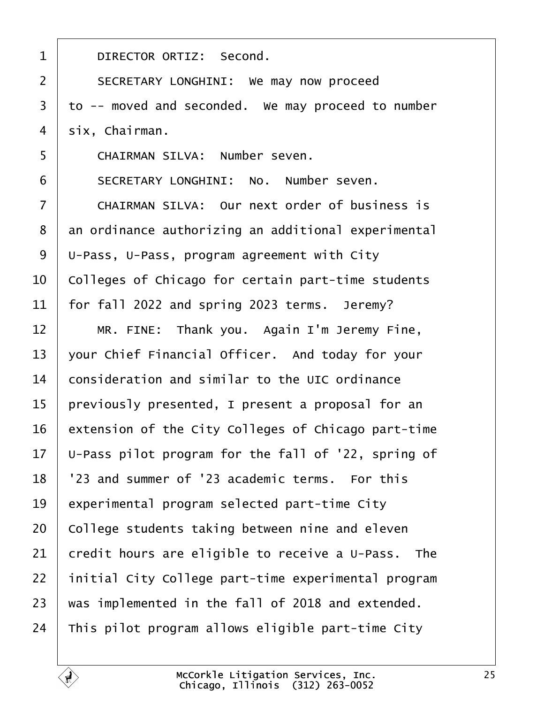<span id="page-24-0"></span>

| $\mathbf 1$    | DIRECTOR ORTIZ: Second.                             |
|----------------|-----------------------------------------------------|
| $\overline{2}$ | SECRETARY LONGHINI: We may now proceed              |
| 3              | to -- moved and seconded. We may proceed to number  |
| 4              | six, Chairman.                                      |
| 5              | CHAIRMAN SILVA: Number seven.                       |
| 6              | SECRETARY LONGHINI: No. Number seven.               |
| $\overline{7}$ | CHAIRMAN SILVA: Our next order of business is       |
| 8              | an ordinance authorizing an additional experimental |
| 9              | U-Pass, U-Pass, program agreement with City         |
| 10             | Colleges of Chicago for certain part-time students  |
| 11             | for fall 2022 and spring 2023 terms. Jeremy?        |
| 12             | MR. FINE: Thank you. Again I'm Jeremy Fine,         |
| 13             | your Chief Financial Officer. And today for your    |
| 14             | consideration and similar to the UIC ordinance      |
| 15             | previously presented, I present a proposal for an   |
| 16             | extension of the City Colleges of Chicago part-time |
| 17             | U-Pass pilot program for the fall of '22, spring of |
| 18             | '23 and summer of '23 academic terms. For this      |
| 19             | experimental program selected part-time City        |
| 20             | College students taking between nine and eleven     |
| 21             | credit hours are eligible to receive a U-Pass. The  |
| 22             | initial City College part-time experimental program |
| 23             | was implemented in the fall of 2018 and extended.   |
| 24             | This pilot program allows eligible part-time City   |
|                |                                                     |

É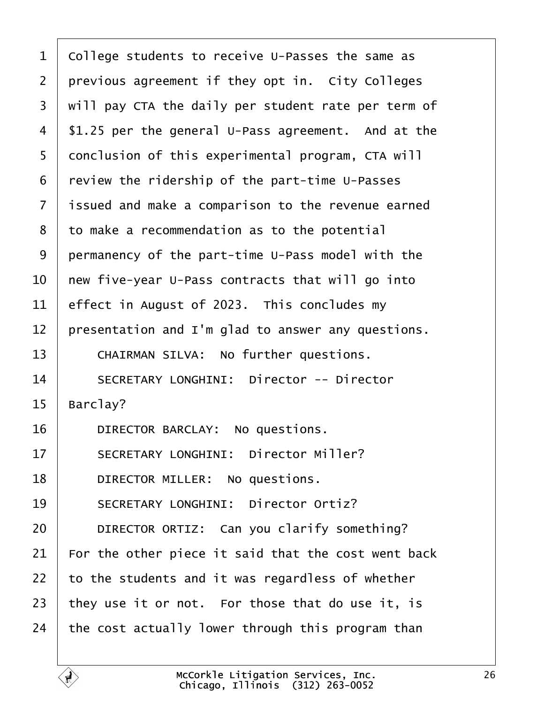<span id="page-25-0"></span> college students to receive U-Passes the same as previous agreement if they opt in. City Colleges  $\mid$  will pay CTA the daily per student rate per term of | \$1.25 per the general U-Pass agreement. And at the 5 | conclusion of this experimental program, CTA will review the ridership of the part-time U-Passes 7 | issued and make a comparison to the revenue earned to make a recommendation as to the potential permanency of the part-time U-Pass model with the  $\vert$  new five-year U-Pass contracts that will go into effect in August of 2023. This concludes my | presentation and I'm glad to answer any questions. 13 CHAIRMAN SILVA: No further questions. 14 SECRETARY LONGHINI: Director -- Director | Barclay? 16 DIRECTOR BARCLAY: No questions. 17 SECRETARY LONGHINI: Director Miller? **DIRECTOR MILLER:** No questions. 19 SECRETARY LONGHINI: Director Ortiz? **DIRECTOR ORTIZ:** Can you clarify something? For the other piece it said that the cost went back to the students and it was regardless of whether  $\vert$  they use it or not. For those that do use it, is  $\vert$  the cost actually lower through this program than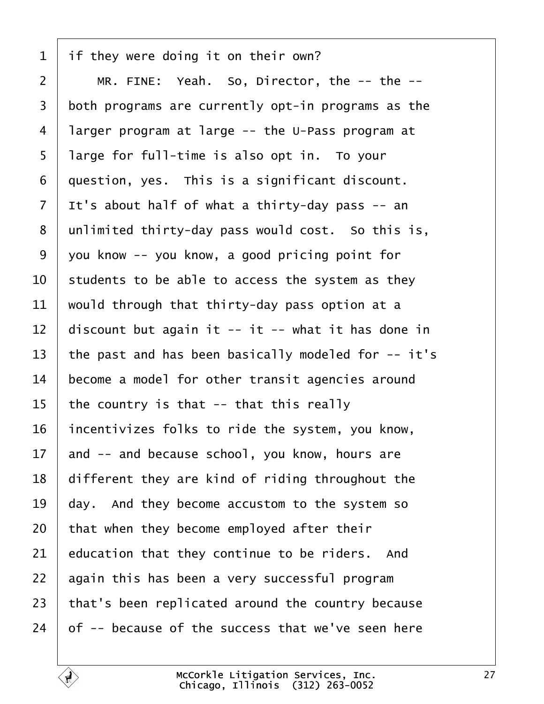<span id="page-26-0"></span>if they were doing it on their own?

 | MR. FINE: Yeah. So, Director, the  $-$ - the  $-$ - both programs are currently opt-in programs as the 4 | larger program at large  $-$  the U-Pass program at 5 | large for full-time is also opt in. To your  $\vert$  question, yes. This is a significant discount. It's about half of what a thirty-day pass -- an unlimited thirty-day pass would cost. So this is, vou know -- you know, a good pricing point for  $\vert$  students to be able to access the system as they would through that thirty-day pass option at a 12 discount but again it -- it -- what it has done in 13 | the past and has been basically modeled for  $-$ - it's become a model for other transit agencies around | the country is that -- that this really incentivizes folks to ride the system, you know, and  $-$  and because school, you know, hours are different they are kind of riding throughout the day. And they become accustom to the system so that when they become employed after their education that they continue to be riders. And again this has been a very successful program that's been replicated around the country because of -- because of the success that we've seen here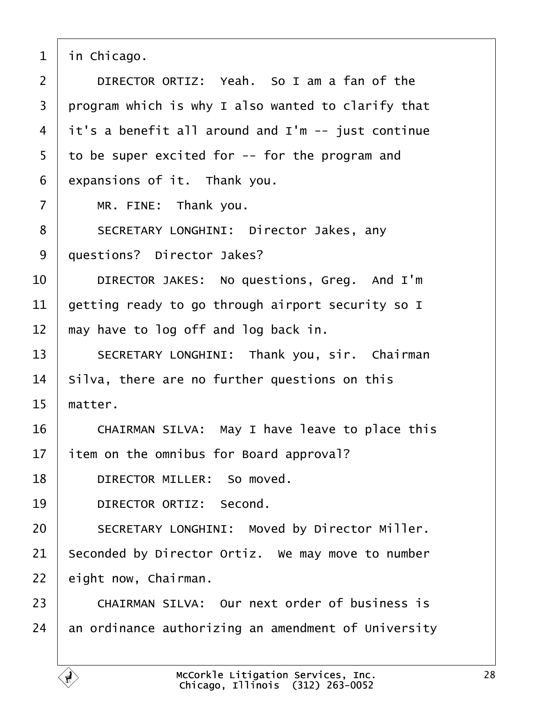<span id="page-27-0"></span> $1$  in Chicago. 2 DIRECTOR ORTIZ: Yeah. So I am a fan of the  $3$   $\mid$  program which is why I also wanted to clarify that  $4$  it's a benefit all around and I'm  $-$  just continue  $5$  to be super excited for  $-$ - for the program and  $6$  expansions of it. Thank you.  $7$  | MR. FINE: Thank you. 8 | SECRETARY LONGHINI: Director Jakes, any 9 | questions? Director Jakes? 10 DIRECTOR JAKES: No questions, Greg. And I'm  $11$  aetting ready to go through airport security so I  $12$   $\parallel$  may have to log off and log back in. 13 | SECRETARY LONGHINI: Thank you, sir. Chairman  $14$  | Silva, there are no further questions on this  $15$  matter. 16 CHAIRMAN SILVA: May I have leave to place this  $17$  item on the omnibus for Board approval? 18 **DIRECTOR MILLER:** So moved. 19 DIRECTOR ORTIZ: Second. 20 SECRETARY LONGHINI: Moved by Director Miller.  $21$  Seconded by Director Ortiz. We may move to number  $22$  eight now, Chairman. 23 CHAIRMAN SILVA: Our next order of business is  $24$  an ordinance authorizing an amendment of University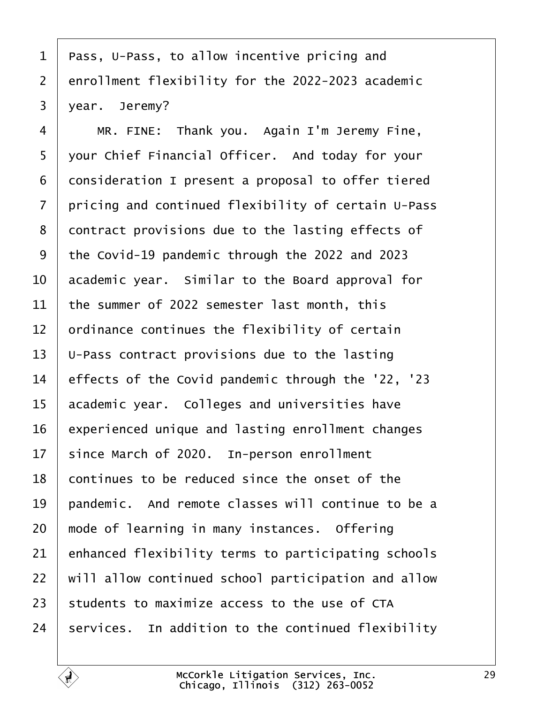<span id="page-28-0"></span> | Pass, U-Pass, to allow incentive pricing and 2 enrollment flexibility for the 2022-2023 academic  $3 \mid$  year. Jeremy?

4 | MR. FINE: Thank you. Again I'm Jeremy Fine, 5 | your Chief Financial Officer. And today for your consideration I present a proposal to offer tiered  $\vert$  pricing and continued flexibility of certain U-Pass 8 contract provisions due to the lasting effects of 9 | the Covid-19 pandemic through the 2022 and 2023  $\vert$  academic year. Similar to the Board approval for  $\vert$  the summer of 2022 semester last month, this  $\vert$  ordinance continues the flexibility of certain  $\vert$  U-Pass contract provisions due to the lasting 14 effects of the Covid pandemic through the '22, '23 academic year. Colleges and universities have experienced unique and lasting enrollment changes since March of 2020. In-person enrollment 18 continues to be reduced since the onset of the  $\vert$  pandemic. And remote classes will continue to be a  $\mid$  mode of learning in many instances. Offering enhanced flexibility terms to participating schools  $\mid$  will allow continued school participation and allow students to maximize access to the use of CTA services. In addition to the continued flexibility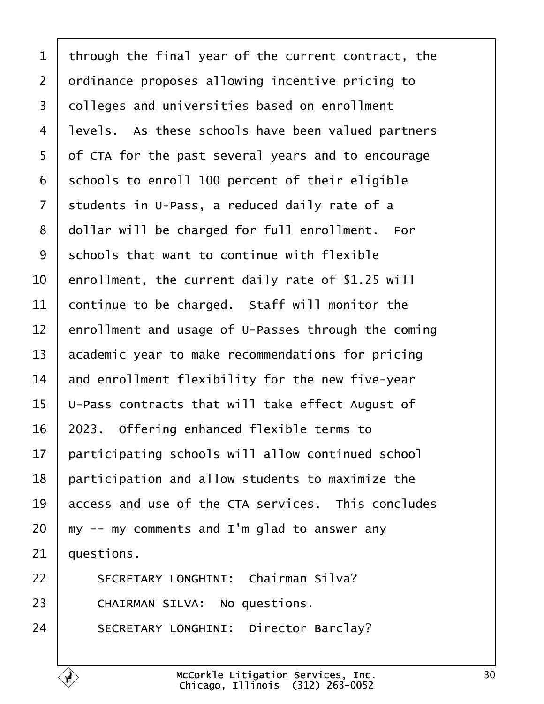<span id="page-29-0"></span> through the final year of the current contract, the 2 ordinance proposes allowing incentive pricing to 3 | colleges and universities based on enrollment 4 | levels. As these schools have been valued partners 5 of CTA for the past several years and to encourage schools to enroll 100 percent of their eligible students in U-Pass, a reduced daily rate of a 8 dollar will be charged for full enrollment. For schools that want to continue with flexible  $\vert$  enrollment, the current daily rate of \$1.25 will continue to be charged. Staff will monitor the 12 enrollment and usage of U-Passes through the coming academic year to make recommendations for pricing and enrollment flexibility for the new five-year  $\vert$  U-Pass contracts that will take effect August of | 2023. Offering enhanced flexible terms to participating schools will allow continued school participation and allow students to maximize the access and use of the CTA services. This concludes  $20 \mid m$ y -- my comments and I'm glad to answer any auestions.

22 | SECRETARY LONGHINI: Chairman Silva? 23 CHAIRMAN SILVA: No questions. 24 SECRETARY LONGHINI: Director Barclay?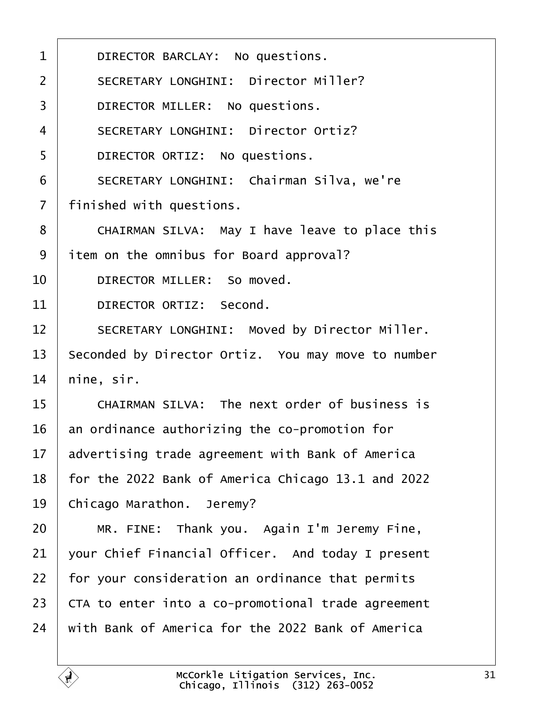<span id="page-30-0"></span>

| DIRECTOR BARCLAY: No questions.                    |
|----------------------------------------------------|
| SECRETARY LONGHINI: Director Miller?               |
| DIRECTOR MILLER: No questions.                     |
| SECRETARY LONGHINI: Director Ortiz?                |
| DIRECTOR ORTIZ: No questions.                      |
| SECRETARY LONGHINI: Chairman Silva, we're          |
| finished with questions.                           |
| CHAIRMAN SILVA: May I have leave to place this     |
| item on the omnibus for Board approval?            |
| DIRECTOR MILLER: So moved.                         |
| DIRECTOR ORTIZ: Second.                            |
| SECRETARY LONGHINI: Moved by Director Miller.      |
| Seconded by Director Ortiz. You may move to number |
| nine, sir.                                         |
| CHAIRMAN SILVA: The next order of business is      |
| an ordinance authorizing the co-promotion for      |
| advertising trade agreement with Bank of America   |
| for the 2022 Bank of America Chicago 13.1 and 2022 |
| Chicago Marathon. Jeremy?                          |
| MR. FINE: Thank you. Again I'm Jeremy Fine,        |
| your Chief Financial Officer. And today I present  |
| for your consideration an ordinance that permits   |
| CTA to enter into a co-promotional trade agreement |
| with Bank of America for the 2022 Bank of America  |
|                                                    |

É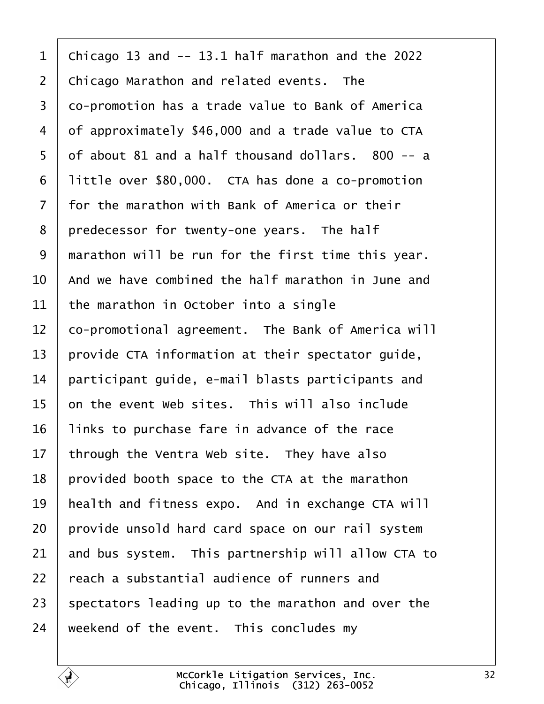<span id="page-31-0"></span>1 | Chicago 13 and  $-$  13.1 half marathon and the 2022  $\vert$  Chicago Marathon and related events. The 3 | co-promotion has a trade value to Bank of America 4 of approximately \$46,000 and a trade value to CTA of about 81 and a half thousand dollars. 800 -- a | little over \$80,000. CTA has done a co-promotion  $\vert$  for the marathon with Bank of America or their | predecessor for twenty-one years. The half | marathon will be run for the first time this year.  $10<sup>1</sup>$  and we have combined the half marathon in June and the marathon in October into a single 12 | co-promotional agreement. The Bank of America will  $\vert$  provide CTA information at their spectator guide, | participant quide, e-mail blasts participants and  $\vert$  on the event Web sites. This will also include | links to purchase fare in advance of the race through the Ventra Web site. They have also | provided booth space to the CTA at the marathon | health and fitness expo. And in exchange CTA will provide unsold hard card space on our rail system and bus system. This partnership will allow CTA to  $\pm$  reach a substantial audience of runners and 23 spectators leading up to the marathon and over the weekend of the event. This concludes my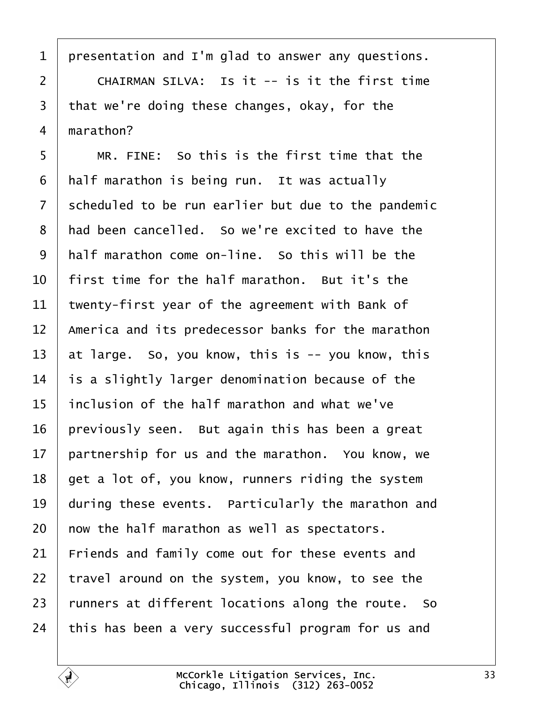<span id="page-32-0"></span>1 | presentation and I'm glad to answer any questions.

  $\vert$   $\vert$  CHAIRMAN SILVA: Is it -- is it the first time that we're doing these changes, okay, for the  $4 \mid$  marathon?

5 | MR. FINE: So this is the first time that the half marathon is being run. It was actually scheduled to be run earlier but due to the pandemic 8 | had been cancelled. So we're excited to have the  $\vert$  half marathon come on-line. So this will be the  $\pm$  first time for the half marathon. But it's the  $\vert$  twenty-first year of the agreement with Bank of  $\parallel$  America and its predecessor banks for the marathon  $\vert$  at large. So, you know, this is -- you know, this is a slightly larger denomination because of the | inclusion of the half marathon and what we've | previously seen. But again this has been a great | partnership for us and the marathon. You know. we | get a lot of, you know, runners riding the system during these events. Particularly the marathon and  $\vert$  now the half marathon as well as spectators. Friends and family come out for these events and | travel around on the system, you know, to see the runners at different locations along the route. So this has been a very successful program for us and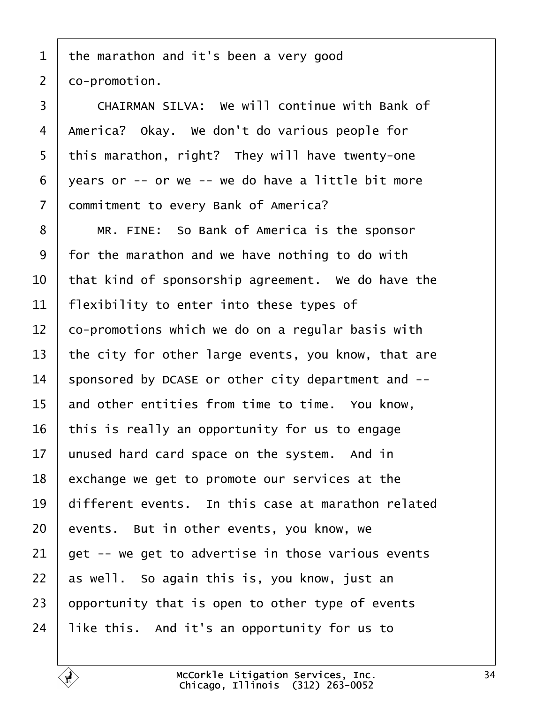<span id="page-33-0"></span>1 | the marathon and it's been a very good  $2 \mid co-promotion.$ 3 CHAIRMAN SILVA: We will continue with Bank of 4 | America? Okay. we don't do various people for  $5$  | this marathon, right? They will have twenty-one  $6$  | years or -- or we -- we do have a little bit more 7 | commitment to every Bank of America? 8 | MR. FINE: So Bank of America is the sponsor  $9 \mid$  for the marathon and we have nothing to do with  $10$   $\vert$  that kind of sponsorship agreement. We do have the

 | flexibility to enter into these types of  $12\,$   $\,$  co-promotions which we do on a regular basis with the city for other large events, you know, that are 14 sponsored by DCASE or other city department and  $-$ - and other entities from time to time. You know, 16 | this is really an opportunity for us to engage | unused hard card space on the system. And in exchange we get to promote our services at the  $\vert$  different events. In this case at marathon related events. But in other events, you know, we  $\vert$  get -- we get to advertise in those various events as well. So again this is, you know, just an  $\vert$  opportunity that is open to other type of events | like this. And it's an opportunity for us to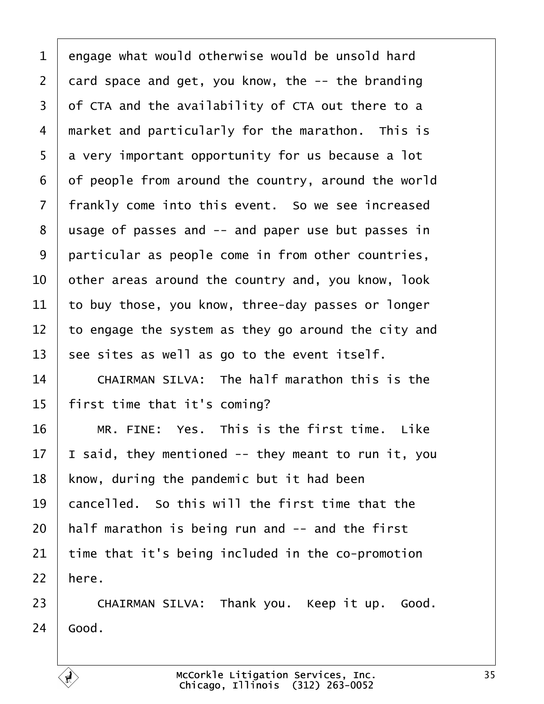<span id="page-34-0"></span> engage what would otherwise would be unsold hard card space and get, you know, the  $-$ - the branding of CTA and the availability of CTA out there to a market and particularly for the marathon. This is  $5 \mid a$  very important opportunity for us because a lot of people from around the country, around the world 7 | frankly come into this event. So we see increased | usage of passes and  $-$  and paper use but passes in 9 particular as people come in from other countries,  $\vert$  other areas around the country and, you know, look to buy those, you know, three-day passes or longer  $\vert$  to engage the system as they go around the city and 13 | see sites as well as go to the event itself.  $\parallel$  CHAIRMAN SILVA: The half marathon this is the | first time that it's coming?  $\parallel$  MR. FINE: Yes. This is the first time. Like  $\vert$  I said. they mentioned -- they meant to run it, you know, during the pandemic but it had been  $\mid$  cancelled. So this will the first time that the | half marathon is being run and  $-$  and the first time that it's being included in the co-promotion here.

23 | CHAIRMAN SILVA: Thank you. Keep it up. Good.  $24 \mid$  Good.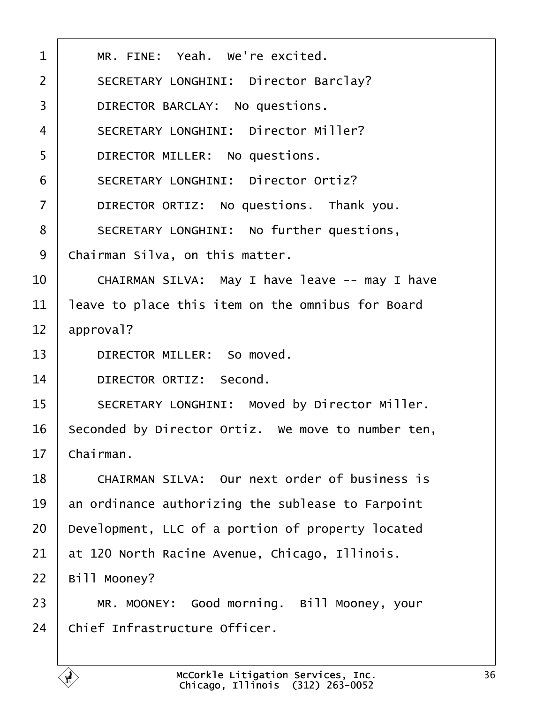<span id="page-35-0"></span>

| $\mathbf 1$    | MR. FINE: Yeah. We're excited.                     |
|----------------|----------------------------------------------------|
| $\overline{2}$ | SECRETARY LONGHINI: Director Barclay?              |
| $\overline{3}$ | DIRECTOR BARCLAY: No questions.                    |
| $\overline{4}$ | SECRETARY LONGHINI: Director Miller?               |
| 5              | DIRECTOR MILLER: No questions.                     |
| 6              | SECRETARY LONGHINI: Director Ortiz?                |
| $\overline{7}$ | DIRECTOR ORTIZ: No questions. Thank you.           |
| 8              | SECRETARY LONGHINI: No further questions,          |
| 9              | Chairman Silva, on this matter.                    |
| 10             | CHAIRMAN SILVA: May I have leave -- may I have     |
| 11             | leave to place this item on the omnibus for Board  |
| 12             | approval?                                          |
| 13             | DIRECTOR MILLER: So moved.                         |
| 14             | DIRECTOR ORTIZ: Second.                            |
| 15             | SECRETARY LONGHINI: Moved by Director Miller.      |
| 16             | Seconded by Director Ortiz. We move to number ten, |
| 17             | Chairman.                                          |
| 18             | CHAIRMAN SILVA: Our next order of business is      |
| 19             | an ordinance authorizing the sublease to Farpoint  |
| 20             | Development, LLC of a portion of property located  |
| 21             | at 120 North Racine Avenue, Chicago, Illinois.     |
| 22             | Bill Mooney?                                       |
| 23             | MR. MOONEY: Good morning. Bill Mooney, your        |
| 24             | Chief Infrastructure Officer.                      |

É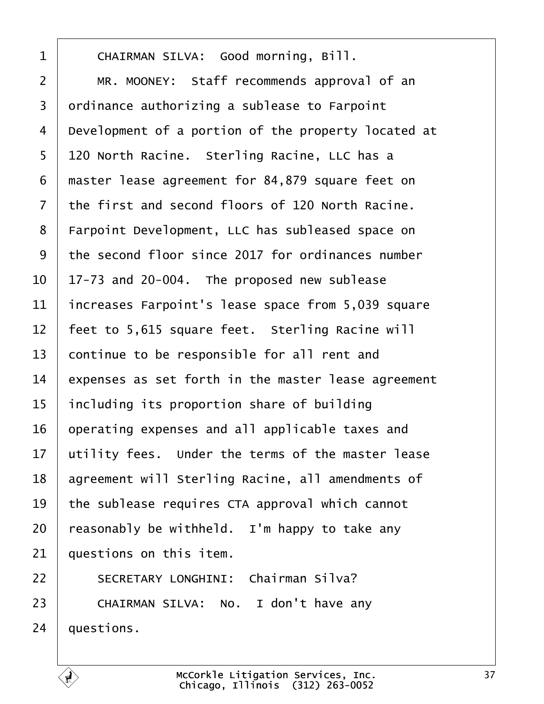<span id="page-36-0"></span>1 | CHAIRMAN SILVA: Good morning, Bill. 2 | MR. MOONEY: Staff recommends approval of an ordinance authorizing a sublease to Farpoint 4 | Development of a portion of the property located at 5 | 120 North Racine. Sterling Racine, LLC has a 6 | master lease agreement for 84,879 square feet on the first and second floors of 120 North Racine. 8 | Farpoint Development, LLC has subleased space on the second floor since 2017 for ordinances number  $\vert$  17-73 and 20-004. The proposed new sublease | increases Farpoint's lease space from 5,039 square | feet to 5,615 square feet. Sterling Racine will continue to be responsible for all rent and expenses as set forth in the master lease agreement including its proportion share of building operating expenses and all applicable taxes and  $\vert$  utility fees. Under the terms of the master lease 18 agreement will Sterling Racine, all amendments of the sublease requires CTA approval which cannot reasonably be withheld. I'm happy to take any auestions on this item. 22 | SECRETARY LONGHINI: Chairman Silva?

23 CHAIRMAN SILVA: No. I don't have any  $24$  | questions.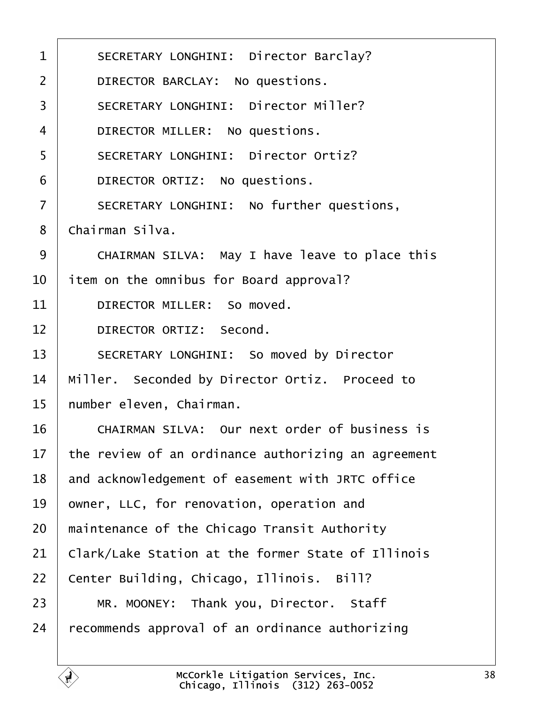<span id="page-37-0"></span>

| $\mathbf 1$    | SECRETARY LONGHINI: Director Barclay?               |
|----------------|-----------------------------------------------------|
| $\overline{2}$ | DIRECTOR BARCLAY: No questions.                     |
| $\overline{3}$ | SECRETARY LONGHINI: Director Miller?                |
| 4              | DIRECTOR MILLER: No questions.                      |
| 5              | SECRETARY LONGHINI: Director Ortiz?                 |
| 6              | DIRECTOR ORTIZ: No questions.                       |
| $\overline{7}$ | SECRETARY LONGHINI: No further questions,           |
| 8              | Chairman Silva.                                     |
| 9              | CHAIRMAN SILVA: May I have leave to place this      |
| 10             | item on the omnibus for Board approval?             |
| 11             | DIRECTOR MILLER: So moved.                          |
| 12             | DIRECTOR ORTIZ: Second.                             |
| 13             | SECRETARY LONGHINI: So moved by Director            |
| 14             | Miller. Seconded by Director Ortiz. Proceed to      |
| 15             | number eleven, Chairman.                            |
| 16             | CHAIRMAN SILVA: Our next order of business is       |
| 17             | the review of an ordinance authorizing an agreement |
| 18             | and acknowledgement of easement with JRTC office    |
| 19             | owner, LLC, for renovation, operation and           |
| 20             | maintenance of the Chicago Transit Authority        |
| 21             | Clark/Lake Station at the former State of Illinois  |
| 22             | Center Building, Chicago, Illinois. Bill?           |
| 23             | MR. MOONEY: Thank you, Director. Staff              |
| 24             | recommends approval of an ordinance authorizing     |
|                |                                                     |

É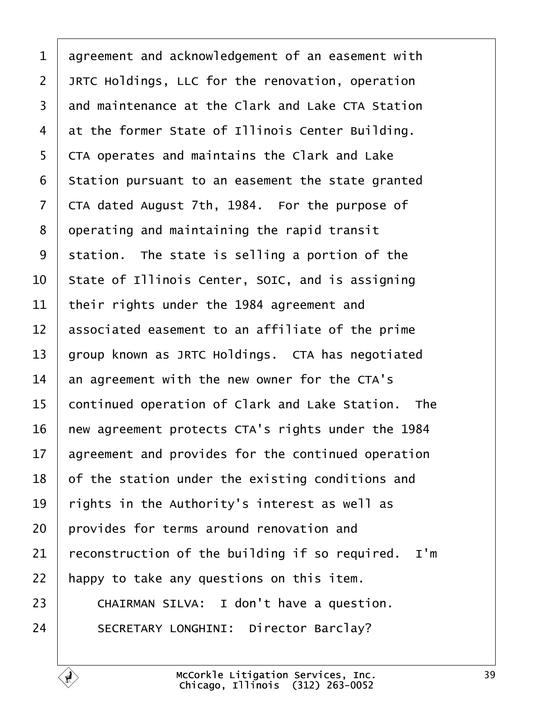<span id="page-38-0"></span> agreement and acknowledgement of an easement with JRTC Holdings, LLC for the renovation, operation 3 | and maintenance at the Clark and Lake CTA Station at the former State of Illinois Center Building. 5 CTA operates and maintains the Clark and Lake | Station pursuant to an easement the state granted  $\vert$  CTA dated August 7th, 1984. For the purpose of operating and maintaining the rapid transit station. The state is selling a portion of the State of Illinois Center, SOIC, and is assigning their rights under the 1984 agreement and  $\parallel$  associated easement to an affiliate of the prime group known as JRTC Holdings. CTA has negotiated an agreement with the new owner for the CTA's 15 continued operation of Clark and Lake Station. The new agreement protects CTA's rights under the 1984 agreement and provides for the continued operation of the station under the existing conditions and  $\vert$  rights in the Authority's interest as well as  $\vert$  provides for terms around renovation and reconstruction of the building if so required. I'm | happy to take any questions on this item.  $\vert$  CHAIRMAN SILVA: I don't have a question. 24 SECRETARY LONGHINI: Director Barclay?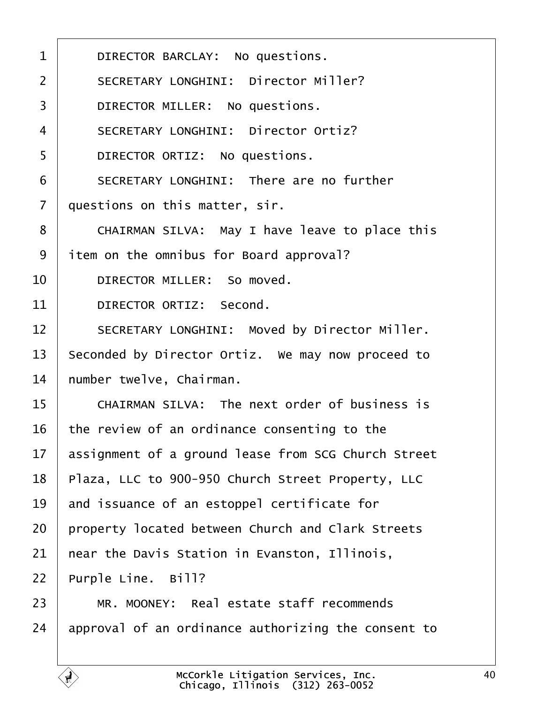<span id="page-39-0"></span>

| $\mathbf{1}$   | DIRECTOR BARCLAY: No questions.                     |
|----------------|-----------------------------------------------------|
| $\overline{2}$ | SECRETARY LONGHINI: Director Miller?                |
| $\overline{3}$ | DIRECTOR MILLER: No questions.                      |
| $\overline{4}$ | SECRETARY LONGHINI: Director Ortiz?                 |
| 5              | DIRECTOR ORTIZ: No questions.                       |
| 6              | SECRETARY LONGHINI: There are no further            |
| $\overline{7}$ | questions on this matter, sir.                      |
| 8              | CHAIRMAN SILVA: May I have leave to place this      |
| 9              | item on the omnibus for Board approval?             |
| 10             | DIRECTOR MILLER: So moved.                          |
| 11             | DIRECTOR ORTIZ: Second.                             |
| 12             | SECRETARY LONGHINI: Moved by Director Miller.       |
| 13             | Seconded by Director Ortiz. We may now proceed to   |
| 14             | number twelve, Chairman.                            |
| 15             | CHAIRMAN SILVA: The next order of business is       |
| 16             | the review of an ordinance consenting to the        |
| 17             | assignment of a ground lease from SCG Church Street |
| 18             | Plaza, LLC to 900-950 Church Street Property, LLC   |
| 19             | and issuance of an estoppel certificate for         |
| 20             | property located between Church and Clark Streets   |
| 21             | near the Davis Station in Evanston, Illinois,       |
| 22             | Purple Line. Bill?                                  |
| 23             | MR. MOONEY: Real estate staff recommends            |
| 24             | approval of an ordinance authorizing the consent to |
|                |                                                     |

É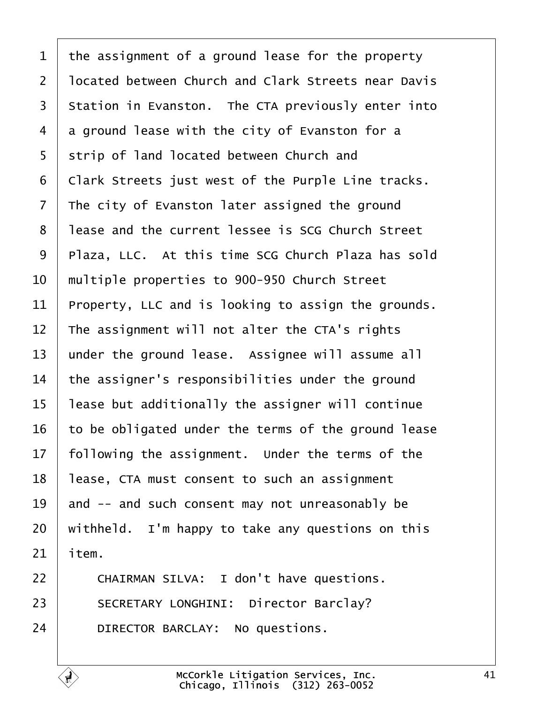<span id="page-40-0"></span> the assignment of a ground lease for the property 2 | located between Church and Clark Streets near Davis 3 Station in Evanston. The CTA previously enter into a ground lease with the city of Evanston for a 5 Strip of land located between Church and  $\vert$  Clark Streets just west of the Purple Line tracks. The city of Evanston later assigned the ground 8 | lease and the current lessee is SCG Church Street 9 | Plaza, LLC, At this time SCG Church Plaza has sold  $\parallel$  multiple properties to 900-950 Church Street Property, LLC and is looking to assign the grounds. The assignment will not alter the CTA's rights under the ground lease. Assignee will assume all the assigner's responsibilities under the ground | lease but additionally the assigner will continue to be obligated under the terms of the ground lease following the assignment. Under the terms of the | lease, CTA must consent to such an assignment and -- and such consent may not unreasonably be withheld. I'm happy to take any questions on this item.

22 | CHAIRMAN SILVA: I don't have questions. 23 SECRETARY LONGHINI: Director Barclay? 24 DIRECTOR BARCLAY: No questions.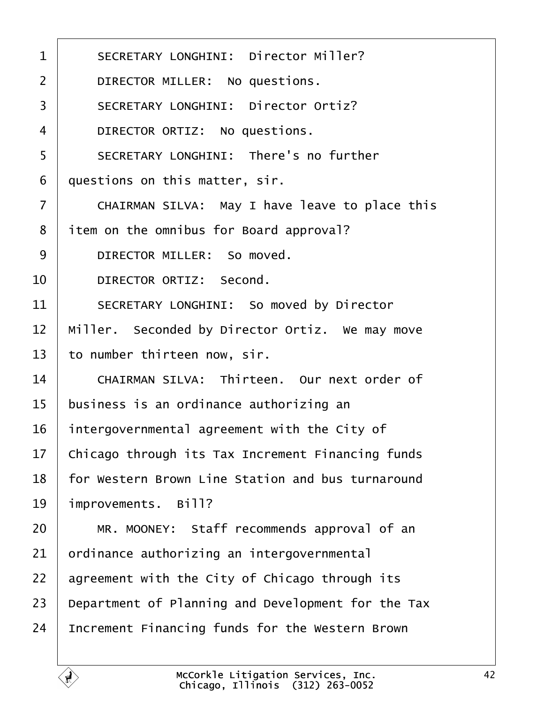<span id="page-41-0"></span>

| $\mathbf{1}$   | SECRETARY LONGHINI: Director Miller?               |
|----------------|----------------------------------------------------|
| $\overline{2}$ | DIRECTOR MILLER: No questions.                     |
| $\overline{3}$ | SECRETARY LONGHINI: Director Ortiz?                |
| 4              | DIRECTOR ORTIZ: No questions.                      |
| 5              | SECRETARY LONGHINI: There's no further             |
| 6              | questions on this matter, sir.                     |
| $\overline{7}$ | CHAIRMAN SILVA: May I have leave to place this     |
| 8              | item on the omnibus for Board approval?            |
| 9              | DIRECTOR MILLER: So moved.                         |
| 10             | DIRECTOR ORTIZ: Second.                            |
| 11             | SECRETARY LONGHINI: So moved by Director           |
| 12             | Miller. Seconded by Director Ortiz. We may move    |
| 13             | to number thirteen now, sir.                       |
| 14             | CHAIRMAN SILVA: Thirteen. Our next order of        |
| 15             | business is an ordinance authorizing an            |
| 16             | intergovernmental agreement with the City of       |
| 17             | Chicago through its Tax Increment Financing funds  |
| 18             | for Western Brown Line Station and bus turnaround  |
| 19             | improvements. Bill?                                |
| 20             | MR. MOONEY: Staff recommends approval of an        |
| 21             | ordinance authorizing an intergovernmental         |
| 22             | agreement with the City of Chicago through its     |
| 23             | Department of Planning and Development for the Tax |
| 24             | Increment Financing funds for the Western Brown    |
|                |                                                    |

É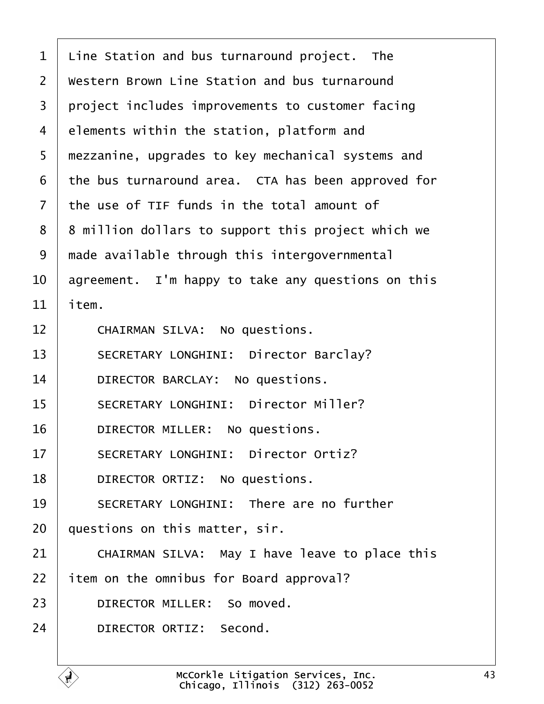<span id="page-42-0"></span> $1$  Line Station and bus turnaround project. The  $2$   $\blacksquare$  Western Brown Line Station and bus turnaround 3 project includes improvements to customer facing  $4$  elements within the station, platform and 5 | mezzanine, upgrades to key mechanical systems and  $6$  the bus turnaround area. CTA has been approved for  $7$   $\pm$  the use of TIF funds in the total amount of 8 | 8 million dollars to support this project which we  $9$   $\mid$  made available through this intergovernmental 10  $\vert$  agreement. I'm happy to take any questions on this  $11$  item. 12 CHAIRMAN SILVA: No questions. 13 | SECRETARY LONGHINI: Director Barclay? 14 DIRECTOR BARCLAY: No questions. 15 | SECRETARY LONGHINI: Director Miller? 16 DIRECTOR MILLER: No questions. 17 SECRETARY LONGHINI: Director Ortiz? 18 **DIRECTOR ORTIZ:** No questions. 19 | SECRETARY LONGHINI: There are no further  $20$  | questions on this matter, sir.  $21$   $\vert$  CHAIRMAN SILVA: May I have leave to place this 22 item on the omnibus for Board approval? 23 DIRECTOR MILLER: So moved. 24 DIRECTOR ORTIZ: Second.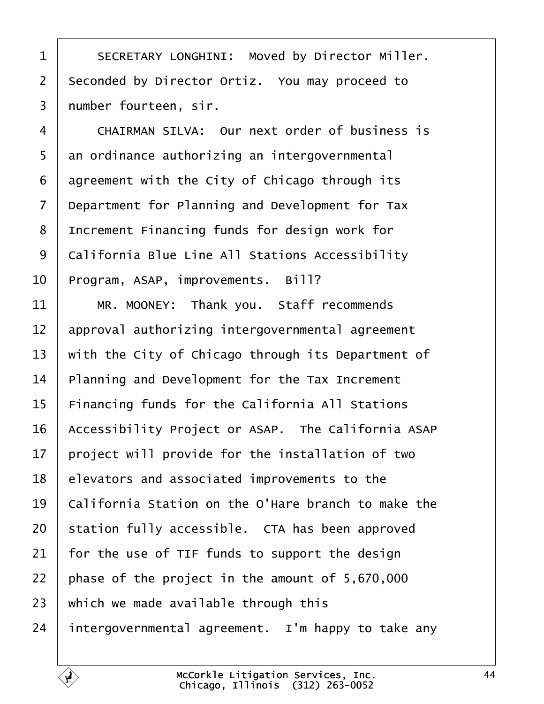<span id="page-43-0"></span>1 SECRETARY LONGHINI: Moved by Director Miller. 2 Seconded by Director Ortiz. You may proceed to 3 | number fourteen, sir.

4 CHAIRMAN SILVA: Our next order of business is  $5$  an ordinance authorizing an intergovernmental  $6$  agreement with the City of Chicago through its  $7$  Department for Planning and Development for Tax 8 | Increment Financing funds for design work for 9 | California Blue Line All Stations Accessibility  $10$  Program, ASAP, improvements. Bill?

11 | MR. MOONEY: Thank you. Staff recommends approval authorizing intergovernmental agreement  $\parallel$  with the City of Chicago through its Department of | Planning and Development for the Tax Increment Financing funds for the California All Stations 16 Accessibility Project or ASAP. The California ASAP 17 | project will provide for the installation of two | elevators and associated improvements to the  $\mid$  California Station on the O'Hare branch to make the station fully accessible. CTA has been approved for the use of TIF funds to support the design phase of the project in the amount of 5,670,000 which we made available through this 24 intergovernmental agreement. I'm happy to take any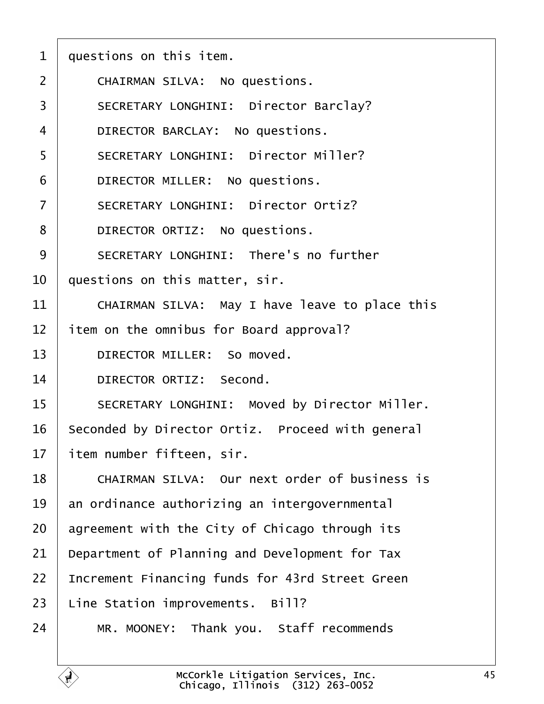<span id="page-44-0"></span>

| $\mathbf 1$    | questions on this item.                          |
|----------------|--------------------------------------------------|
| $\overline{2}$ | CHAIRMAN SILVA: No questions.                    |
| 3              | SECRETARY LONGHINI: Director Barclay?            |
| $\overline{4}$ | DIRECTOR BARCLAY: No questions.                  |
| 5              | SECRETARY LONGHINI: Director Miller?             |
| 6              | DIRECTOR MILLER: No questions.                   |
| $\overline{7}$ | SECRETARY LONGHINI: Director Ortiz?              |
| 8              | DIRECTOR ORTIZ: No questions.                    |
| 9              | SECRETARY LONGHINI: There's no further           |
| 10             | questions on this matter, sir.                   |
| 11             | CHAIRMAN SILVA: May I have leave to place this   |
| 12             | item on the omnibus for Board approval?          |
| 13             | DIRECTOR MILLER: So moved.                       |
| 14             | DIRECTOR ORTIZ: Second.                          |
| 15             | SECRETARY LONGHINI: Moved by Director Miller.    |
| 16             | Seconded by Director Ortiz. Proceed with general |
| 17             | item number fifteen, sir.                        |
| 18             | CHAIRMAN SILVA: Our next order of business is    |
| 19             | an ordinance authorizing an intergovernmental    |
| 20             | agreement with the City of Chicago through its   |
| 21             | Department of Planning and Development for Tax   |
| 22             | Increment Financing funds for 43rd Street Green  |
| 23             | Line Station improvements. Bill?                 |
| 24             | MR. MOONEY: Thank you. Staff recommends          |

É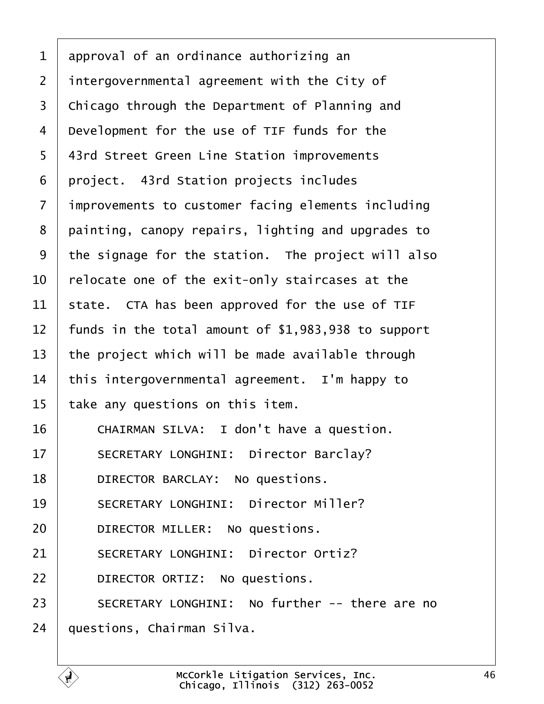<span id="page-45-0"></span> $1$  approval of an ordinance authorizing an  $2$  | intergovernmental agreement with the City of 3 | Chicago through the Department of Planning and 4 | Development for the use of TIF funds for the 5 | 43rd Street Green Line Station improvements  $6$  project. 43rd Station projects includes 7 | improvements to customer facing elements including  $8$  | painting, canopy repairs, lighting and upgrades to 9 the signage for the station. The project will also  $10$   $\vert$  relocate one of the exit-only staircases at the 11 | state. CTA has been approved for the use of TIF 12  $\vert$  funds in the total amount of \$1,983,938 to support 13  $\vert$  the project which will be made available through  $14$  this intergovernmental agreement. I'm happy to  $15$  take any questions on this item. 16 | CHAIRMAN SILVA: I don't have a question. 17 | SECRETARY LONGHINI: Director Barclay? 18 | DIRECTOR BARCLAY: No questions. 19· · · ·SECRETARY LONGHINI:· Director Miller? 20 **DIRECTOR MILLER:** No questions. 21 SECRETARY LONGHINI: Director Ortiz? 22 **DIRECTOR ORTIZ:** No questions. 23 SECRETARY LONGHINI: No further -- there are no  $24$  | questions, Chairman Silva.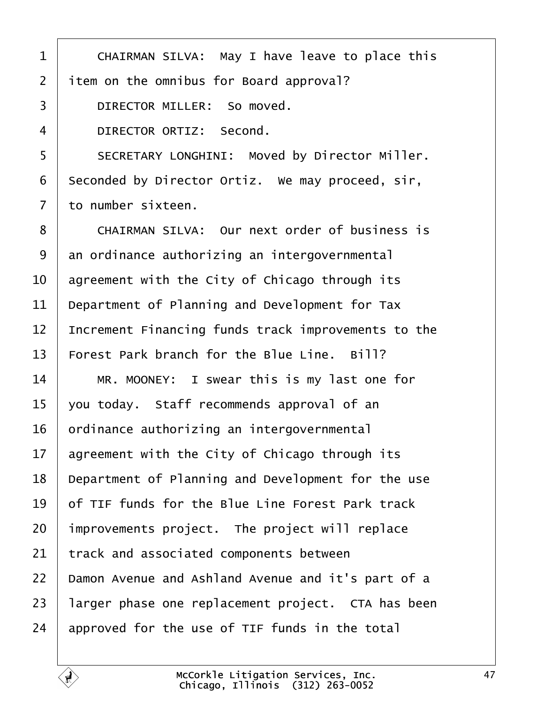<span id="page-46-0"></span>1 | CHAIRMAN SILVA: May I have leave to place this item on the omnibus for Board approval? 3 DIRECTOR MILLER: So moved. 4 DIRECTOR ORTIZ: Second. 5 SECRETARY LONGHINI: Moved by Director Miller. seconded by Director Ortiz. We may proceed, sir,  $7·$  to number sixteen. 8 | CHAIRMAN SILVA: Our next order of business is an ordinance authorizing an intergovernmental  $\vert$  agreement with the City of Chicago through its Department of Planning and Development for Tax  $\parallel$  Increment Financing funds track improvements to the Forest Park branch for the Blue Line. Bill? 14 | MR. MOONEY: I swear this is my last one for  $\vert$  you today. Staff recommends approval of an ordinance authorizing an intergovernmental agreement with the City of Chicago through its Department of Planning and Development for the use  $\vert$  of TIF funds for the Blue Line Forest Park track improvements project. The project will replace 21 track and associated components between | Damon Avenue and Ashland Avenue and it's part of a 23 | larger phase one replacement project. CTA has been approved for the use of TIF funds in the total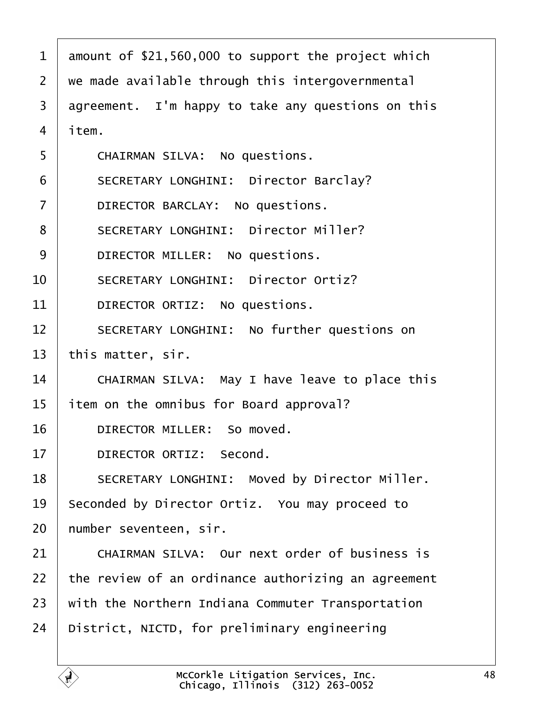<span id="page-47-0"></span>

| $\mathbf{1}$   | amount of \$21,560,000 to support the project which |
|----------------|-----------------------------------------------------|
| $\overline{2}$ | we made available through this intergovernmental    |
| 3              | agreement. I'm happy to take any questions on this  |
| 4              | item.                                               |
| 5              | CHAIRMAN SILVA: No questions.                       |
| 6              | SECRETARY LONGHINI: Director Barclay?               |
| $\overline{7}$ | DIRECTOR BARCLAY: No questions.                     |
| 8              | SECRETARY LONGHINI: Director Miller?                |
| 9              | DIRECTOR MILLER: No questions.                      |
| 10             | SECRETARY LONGHINI: Director Ortiz?                 |
| 11             | DIRECTOR ORTIZ: No questions.                       |
| 12             | SECRETARY LONGHINI: No further questions on         |
| 13             | this matter, sir.                                   |
| 14             | CHAIRMAN SILVA: May I have leave to place this      |
| 15             | item on the omnibus for Board approval?             |
| 16             | DIRECTOR MILLER: So moved.                          |
| 17             | DIRECTOR ORTIZ: Second.                             |
| 18             | SECRETARY LONGHINI: Moved by Director Miller.       |
| 19             | Seconded by Director Ortiz. You may proceed to      |
| 20             | number seventeen, sir.                              |
| 21             | CHAIRMAN SILVA: Our next order of business is       |
| 22             | the review of an ordinance authorizing an agreement |
| 23             | with the Northern Indiana Commuter Transportation   |
| 24             | District, NICTD, for preliminary engineering        |
|                |                                                     |

Ē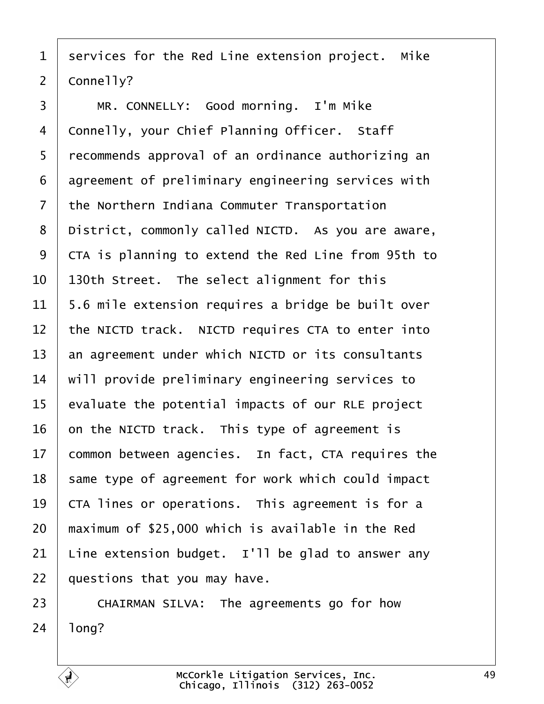<span id="page-48-0"></span> services for the Red Line extension project. Mike  $2 \mid \text{Conn}$ elly?

3 | MR. CONNELLY: Good morning. I'm Mike 4 | Connelly, your Chief Planning Officer. Staff 5 | recommends approval of an ordinance authorizing an agreement of preliminary engineering services with the Northern Indiana Commuter Transportation | District, commonly called NICTD. As you are aware, 9 CTA is planning to extend the Red Line from 95th to  $\vert$  130th Street. The select alignment for this | 5.6 mile extension requires a bridge be built over  $\vert$  the NICTD track. NICTD requires CTA to enter into an agreement under which NICTD or its consultants  $\parallel$  will provide preliminary engineering services to | evaluate the potential impacts of our RLE project on the NICTD track. This type of agreement is common between agencies. In fact, CTA requires the | same type of agreement for work which could impact  $\vert$  CTA lines or operations. This agreement is for a  $\parallel$  maximum of \$25,000 which is available in the Red 21 | Line extension budget. I'll be glad to answer any | questions that you may have.

23 CHAIRMAN SILVA: The agreements go for how | long?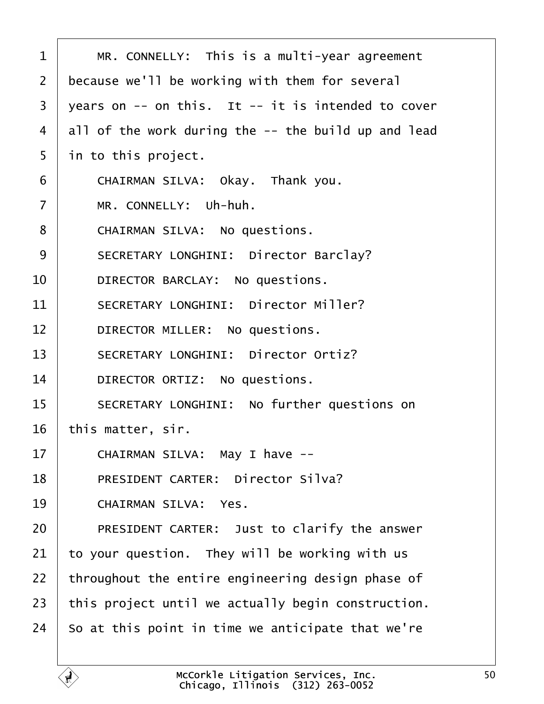<span id="page-49-0"></span>

| $\mathbf 1$    | MR. CONNELLY: This is a multi-year agreement           |
|----------------|--------------------------------------------------------|
| $\overline{2}$ | because we'll be working with them for several         |
| 3              | years on $--$ on this. It $--$ it is intended to cover |
| $\overline{4}$ | all of the work during the -- the build up and lead    |
| 5              | in to this project.                                    |
| 6              | CHAIRMAN SILVA: Okay. Thank you.                       |
| $\overline{7}$ | MR. CONNELLY: Uh-huh.                                  |
| 8              | CHAIRMAN SILVA: No questions.                          |
| 9              | SECRETARY LONGHINI: Director Barclay?                  |
| 10             | DIRECTOR BARCLAY: No questions.                        |
| 11             | SECRETARY LONGHINI: Director Miller?                   |
| 12             | DIRECTOR MILLER: No questions.                         |
| 13             | SECRETARY LONGHINI: Director Ortiz?                    |
| 14             | DIRECTOR ORTIZ: No questions.                          |
| 15             | SECRETARY LONGHINI: No further questions on            |
| 16             | this matter, sir.                                      |
| 17             | CHAIRMAN SILVA: May I have --                          |
| 18             | PRESIDENT CARTER: Director Silva?                      |
| 19             | CHAIRMAN SILVA: Yes.                                   |
| 20             | PRESIDENT CARTER: Just to clarify the answer           |
| 21             | to your question. They will be working with us         |
| 22             | throughout the entire engineering design phase of      |
| 23             | this project until we actually begin construction.     |
| 24             | So at this point in time we anticipate that we're      |
|                |                                                        |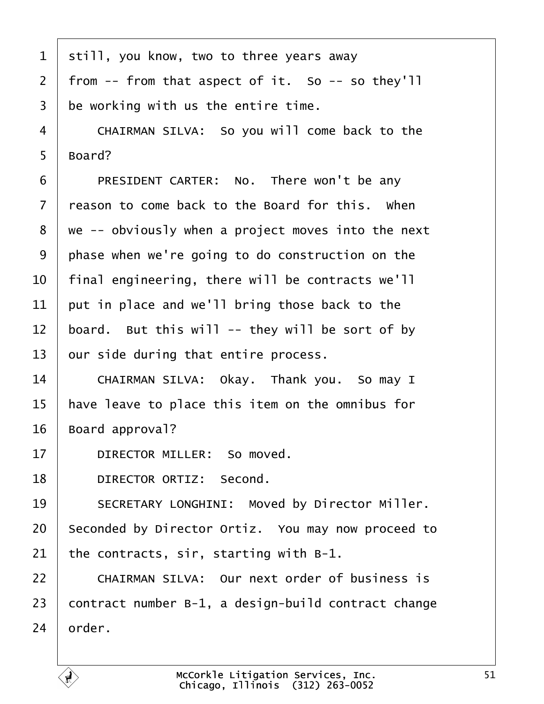<span id="page-50-0"></span>

| $\mathbf{1}$   | still, you know, two to three years away             |
|----------------|------------------------------------------------------|
| $\overline{2}$ | from $--$ from that aspect of it. So $--$ so they'll |
| 3              | be working with us the entire time.                  |
| 4              | CHAIRMAN SILVA: So you will come back to the         |
| 5              | Board?                                               |
| 6              | PRESIDENT CARTER: No. There won't be any             |
| $\overline{7}$ | reason to come back to the Board for this. When      |
| 8              | we -- obviously when a project moves into the next   |
| 9              | phase when we're going to do construction on the     |
| 10             | final engineering, there will be contracts we'll     |
| 11             | put in place and we'll bring those back to the       |
| 12             | board. But this will -- they will be sort of by      |
| 13             | our side during that entire process.                 |
| 14             | CHAIRMAN SILVA: Okay. Thank you. So may I            |
| 15             | have leave to place this item on the omnibus for     |
| 16             | Board approval?                                      |
| 17             | DIRECTOR MILLER: So moved.                           |
| 18             | DIRECTOR ORTIZ: Second.                              |
| 19             | SECRETARY LONGHINI: Moved by Director Miller.        |
| 20             | Seconded by Director Ortiz. You may now proceed to   |
| 21             | the contracts, sir, starting with B-1.               |
| 22             | CHAIRMAN SILVA: Our next order of business is        |
| 23             | contract number B-1, a design-build contract change  |
| 24             | order.                                               |

É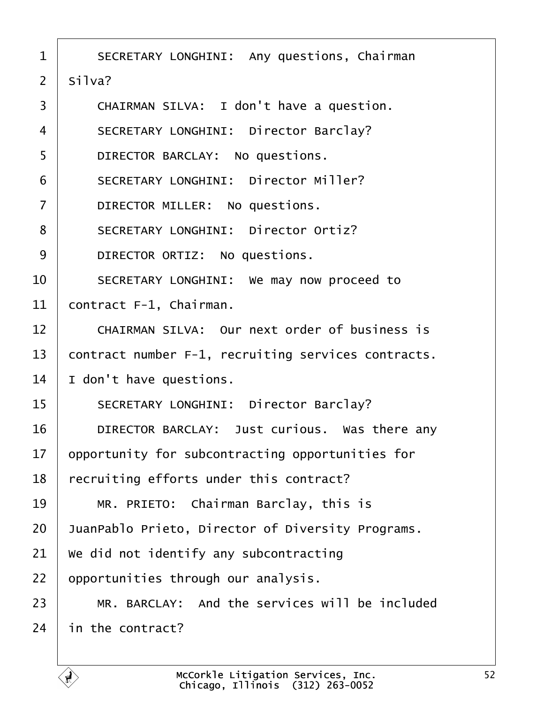<span id="page-51-0"></span>

| $\mathbf 1$    | SECRETARY LONGHINI: Any questions, Chairman         |
|----------------|-----------------------------------------------------|
| $\overline{2}$ | Si1va?                                              |
| 3              | CHAIRMAN SILVA: I don't have a question.            |
| 4              | SECRETARY LONGHINI: Director Barclay?               |
| 5              | DIRECTOR BARCLAY: No questions.                     |
| 6              | SECRETARY LONGHINI: Director Miller?                |
| $\overline{7}$ | DIRECTOR MILLER: No questions.                      |
| 8              | SECRETARY LONGHINI: Director Ortiz?                 |
| 9              | DIRECTOR ORTIZ: No questions.                       |
| 10             | SECRETARY LONGHINI: We may now proceed to           |
| 11             | contract F-1, Chairman.                             |
| 12             | CHAIRMAN SILVA: Our next order of business is       |
| 13             | contract number F-1, recruiting services contracts. |
| 14             | I don't have questions.                             |
| 15             | SECRETARY LONGHINI: Director Barclay?               |
| 16             | DIRECTOR BARCLAY: Just curious. Was there any       |
| 17             | opportunity for subcontracting opportunities for    |
| 18             | recruiting efforts under this contract?             |
| 19             | MR. PRIETO: Chairman Barclay, this is               |
| 20             | JuanPablo Prieto, Director of Diversity Programs.   |
| 21             | We did not identify any subcontracting              |
| 22             | opportunities through our analysis.                 |
| 23             | MR. BARCLAY: And the services will be included      |
| 24             | in the contract?                                    |
|                |                                                     |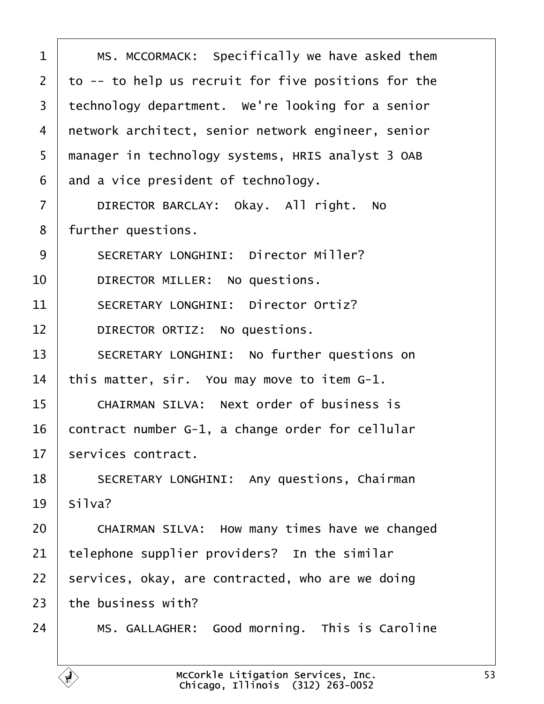<span id="page-52-0"></span>1 | MS. MCCORMACK: Specifically we have asked them  $2$   $\pm$  to  $-$  to help us recruit for five positions for the 3 technology department. We're looking for a senior 4 | network architect, senior network engineer, senior 5 | manager in technology systems, HRIS analyst 3 OAB  $6 \mid$  and a vice president of technology. 7 DIRECTOR BARCLAY: Okay. All right. No 8 | further questions. 9 SECRETARY LONGHINI: Director Miller? 10 DIRECTOR MILLER: No questions. 11 SECRETARY LONGHINI: Director Ortiz? 12 DIRECTOR ORTIZ: No questions. 13 SECRETARY LONGHINI: No further questions on 14 | this matter, sir. You may move to item  $G-1$ . 15 | CHAIRMAN SILVA: Next order of business is  $16$  contract number G-1, a change order for cellular  $17$  services contract. 18 SECRETARY LONGHINI: Any questions, Chairman  $19$  silva? 20 CHAIRMAN SILVA: How many times have we changed  $21$  telephone supplier providers? In the similar  $22$  | services, okay, are contracted, who are we doing  $23$  the business with? 24 | MS. GALLAGHER: Good morning. This is Caroline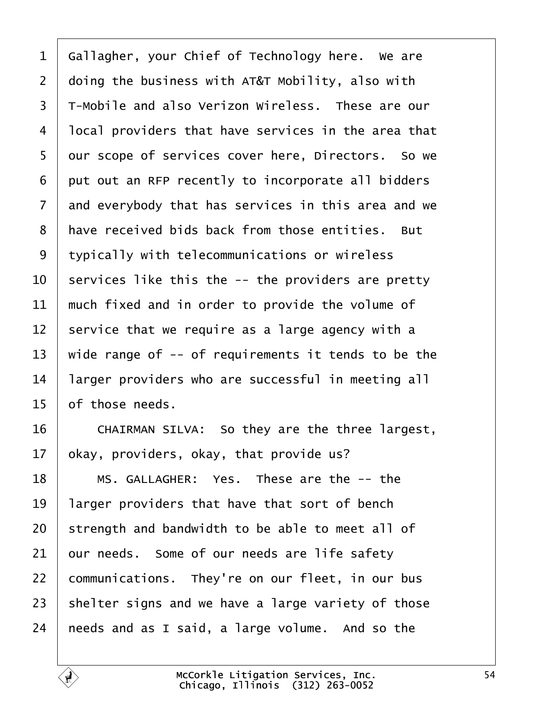<span id="page-53-0"></span> Gallagher, your Chief of Technology here. We are  $\vert$  doing the business with AT&T Mobility, also with 3 T-Mobile and also Verizon Wireless. These are our  $\vert$  local providers that have services in the area that 5 | our scope of services cover here, Directors. So we put out an RFP recently to incorporate all bidders and everybody that has services in this area and we 8 | have received bids back from those entities. But 9 tvpically with telecommunications or wireless  $\vert$  services like this the -- the providers are pretty  $\parallel$  much fixed and in order to provide the volume of  $\vert$  service that we require as a large agency with a 13 | wide range of  $-$ - of requirements it tends to be the | larger providers who are successful in meeting all of those needs.

16 CHAIRMAN SILVA: So they are the three largest, | okay, providers, okay, that provide us?

18 | MS. GALLAGHER: Yes. These are the -- the  $\parallel$  larger providers that have that sort of bench strength and bandwidth to be able to meet all of our needs. Some of our needs are life safety communications. They're on our fleet, in our bus shelter signs and we have a large variety of those | needs and as I said, a large volume. And so the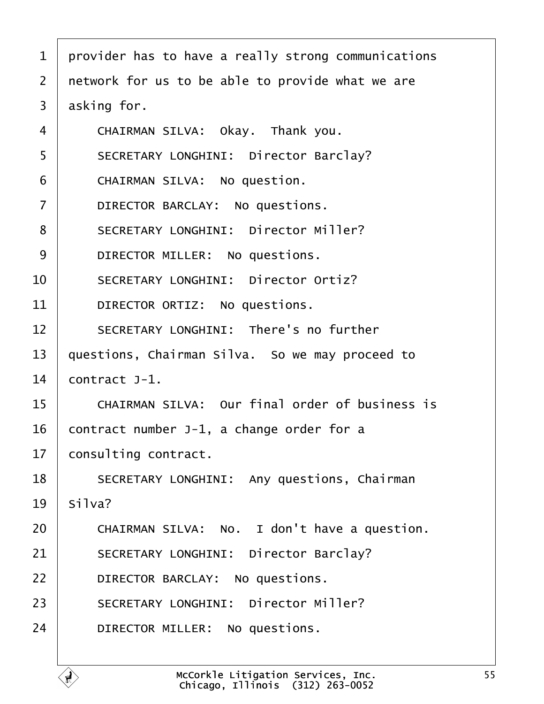<span id="page-54-0"></span>

| $\mathbf{1}$   | provider has to have a really strong communications |
|----------------|-----------------------------------------------------|
| $\overline{2}$ | network for us to be able to provide what we are    |
| 3              | asking for.                                         |
| 4              | CHAIRMAN SILVA: Okay. Thank you.                    |
| 5              | SECRETARY LONGHINI: Director Barclay?               |
| 6              | CHAIRMAN SILVA: No question.                        |
| $\overline{7}$ | DIRECTOR BARCLAY: No questions.                     |
| 8              | SECRETARY LONGHINI: Director Miller?                |
| 9              | DIRECTOR MILLER: No questions.                      |
| 10             | SECRETARY LONGHINI: Director Ortiz?                 |
| 11             | DIRECTOR ORTIZ: No questions.                       |
| 12             | SECRETARY LONGHINI: There's no further              |
| 13             | questions, Chairman Silva. So we may proceed to     |
| 14             | $contract$ J-1.                                     |
| 15             | CHAIRMAN SILVA: Our final order of business is      |
| 16             | contract number J-1, a change order for a           |
| 17             | consulting contract.                                |
| 18             | SECRETARY LONGHINI: Any questions, Chairman         |
| 19             | Silva?                                              |
| 20             | CHAIRMAN SILVA: No. I don't have a question.        |
| 21             | SECRETARY LONGHINI: Director Barclay?               |
| 22             | DIRECTOR BARCLAY: No questions.                     |
| 23             | SECRETARY LONGHINI: Director Miller?                |
| 24             | DIRECTOR MILLER: No questions.                      |
|                |                                                     |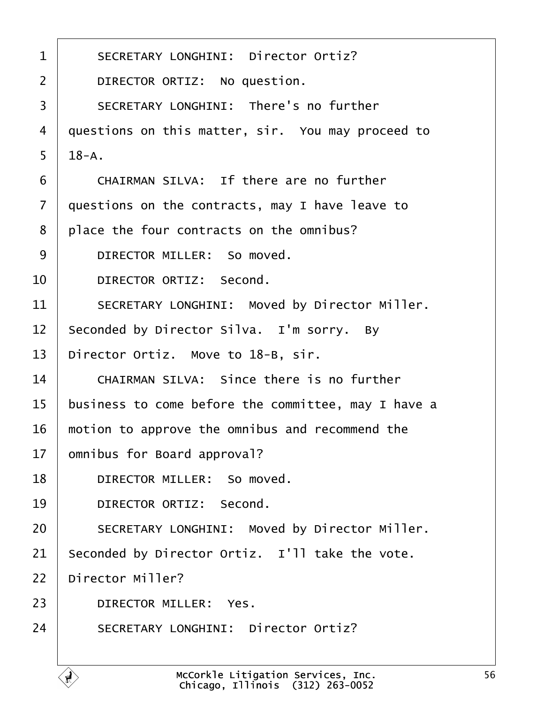<span id="page-55-0"></span>

| $\mathbf 1$    | SECRETARY LONGHINI: Director Ortiz?                 |
|----------------|-----------------------------------------------------|
| $\overline{2}$ | DIRECTOR ORTIZ: No question.                        |
| $\overline{3}$ | SECRETARY LONGHINI: There's no further              |
| 4              | questions on this matter, sir. You may proceed to   |
| 5              | $18 - A$ .                                          |
| 6              | CHAIRMAN SILVA: If there are no further             |
| $\overline{7}$ | questions on the contracts, may I have leave to     |
| 8              | place the four contracts on the omnibus?            |
| 9              | DIRECTOR MILLER: So moved.                          |
| 10             | DIRECTOR ORTIZ: Second.                             |
| 11             | SECRETARY LONGHINI: Moved by Director Miller.       |
| 12             | Seconded by Director Silva. I'm sorry. By           |
| 13             | Director Ortiz. Move to 18-B, sir.                  |
| 14             | CHAIRMAN SILVA: Since there is no further           |
| 15             | business to come before the committee, may I have a |
| 16             | motion to approve the omnibus and recommend the     |
| 17             | omnibus for Board approval?                         |
| 18             | DIRECTOR MILLER: So moved.                          |
| 19             | DIRECTOR ORTIZ: Second.                             |
| 20             | SECRETARY LONGHINI: Moved by Director Miller.       |
| 21             | Seconded by Director Ortiz. I'll take the vote.     |
| 22             | Director Miller?                                    |
| 23             | DIRECTOR MILLER: Yes.                               |
| 24             | SECRETARY LONGHINI: Director Ortiz?                 |
|                |                                                     |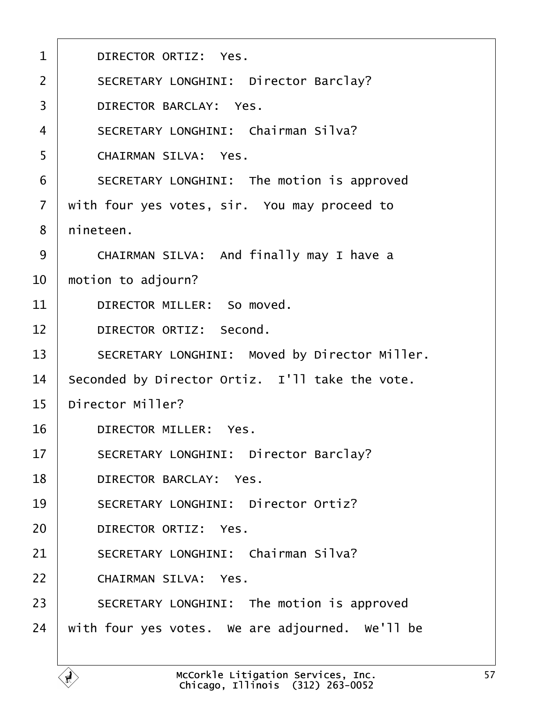<span id="page-56-0"></span>

| $\mathbf{1}$      | DIRECTOR ORTIZ: Yes.                            |
|-------------------|-------------------------------------------------|
| $\overline{2}$    | SECRETARY LONGHINI: Director Barclay?           |
| 3                 | DIRECTOR BARCLAY: Yes.                          |
| 4                 | SECRETARY LONGHINI: Chairman Silva?             |
| 5                 | CHAIRMAN SILVA: Yes.                            |
| 6                 | SECRETARY LONGHINI: The motion is approved      |
| $\overline{7}$    | with four yes votes, sir. You may proceed to    |
| 8                 | nineteen.                                       |
| 9                 | CHAIRMAN SILVA: And finally may I have a        |
| 10                | motion to adjourn?                              |
| 11                | DIRECTOR MILLER: So moved.                      |
| $12 \overline{ }$ | DIRECTOR ORTIZ: Second.                         |
| 13                | SECRETARY LONGHINI: Moved by Director Miller.   |
| 14                | Seconded by Director Ortiz. I'll take the vote. |
| 15                | Director Miller?                                |
| 16                | DIRECTOR MILLER: Yes.                           |
| 17                | SECRETARY LONGHINI: Director Barclay?           |
| 18                | DIRECTOR BARCLAY: Yes.                          |
| 19                | SECRETARY LONGHINI: Director Ortiz?             |
| 20                | DIRECTOR ORTIZ: Yes.                            |
| 21                | SECRETARY LONGHINI: Chairman Silva?             |
| 22                | CHAIRMAN SILVA: Yes.                            |
| 23                | SECRETARY LONGHINI: The motion is approved      |
| 24                | with four yes votes. We are adjourned. We'll be |
|                   |                                                 |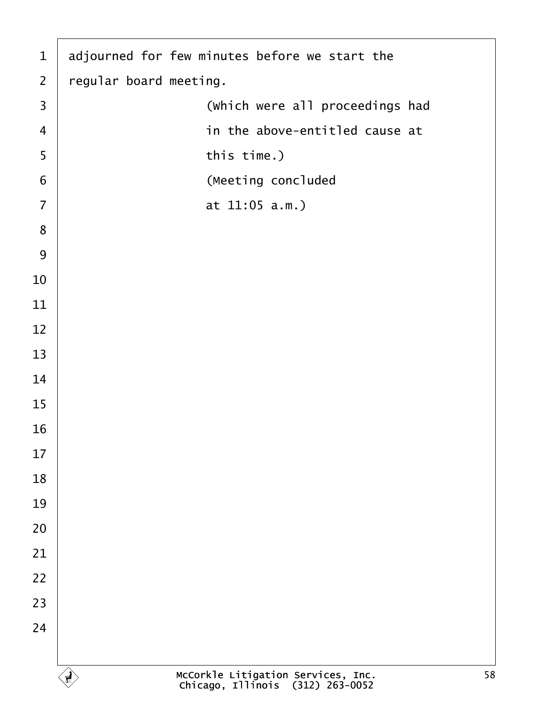| $\mathbf{1}$            | adjourned for few minutes before we start the                                |
|-------------------------|------------------------------------------------------------------------------|
| $\overline{2}$          | regular board meeting.                                                       |
| $\overline{\mathbf{3}}$ | (which were all proceedings had                                              |
| $\overline{4}$          | in the above-entitled cause at                                               |
| 5                       | this time.)                                                                  |
| 6                       | (Meeting concluded                                                           |
| $\overline{7}$          | at $11:05$ a.m.)                                                             |
| 8                       |                                                                              |
| 9                       |                                                                              |
| 10                      |                                                                              |
| 11                      |                                                                              |
| 12                      |                                                                              |
| 13                      |                                                                              |
| 14                      |                                                                              |
| 15                      |                                                                              |
| 16                      |                                                                              |
| 17                      |                                                                              |
| 18                      |                                                                              |
| 19                      |                                                                              |
| 20                      |                                                                              |
| 21                      |                                                                              |
| 22                      |                                                                              |
| 23                      |                                                                              |
| 24                      |                                                                              |
|                         |                                                                              |
|                         | McCorkle Litigation Services, Inc.<br>Chicago, Illinois (312) 263-0052<br>58 |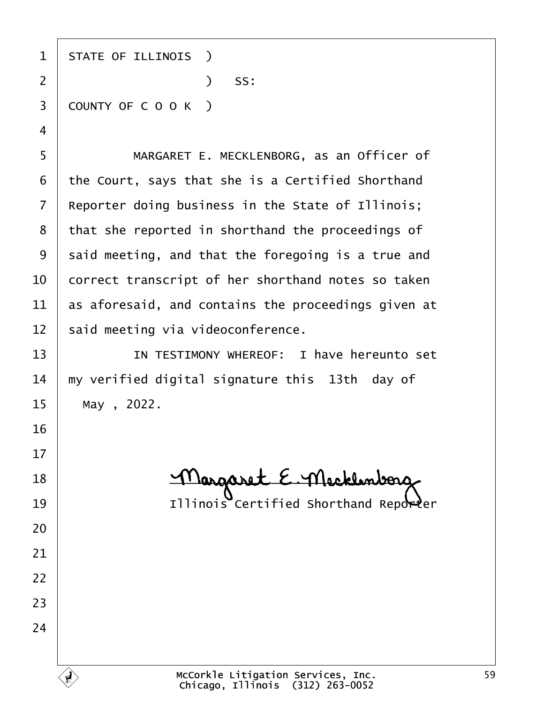1 | STATE OF ILLINOIS )  $)$  SS: 3 COUNTY OF C O O K )

5 | MARGARET E. MECKLENBORG, as an Officer of the Court, says that she is a Certified Shorthand Reporter doing business in the State of Illinois; that she reported in shorthand the proceedings of said meeting, and that the foregoing is a true and  $\vert$  correct transcript of her shorthand notes so taken  $\vert$  as aforesaid, and contains the proceedings given at said meeting via videoconference.

**I IN TESTIMONY WHEREOF:** I have hereunto set  $\parallel$  my verified digital signature this 13th day of May, 2022.

18 Margaret E. Mecklenborg 19 | **Illinois Certified Shorthand Reporter** 

McCorkle Litigation Services, Inc. Chicago, Illinois· (312) 263-0052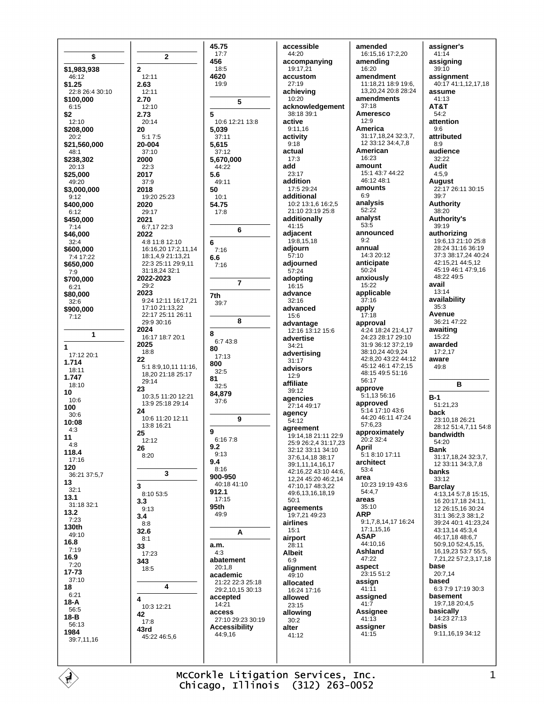| \$                           |
|------------------------------|
| \$1,983,938                  |
| 46:12<br>\$1.25              |
| 22:8 26:4 30:10<br>\$100,000 |
| 6:15                         |
| \$2<br>12:10                 |
| \$208,000<br>20:2            |
| \$21,560,000<br>48:1         |
| \$238,302                    |
| 20:13<br>\$25,000            |
| 49:20<br>\$3,000,000         |
| 9:12<br>\$400,000            |
| 6:12                         |
| \$450.000<br>7:14            |
| \$46,000<br>32:4             |
| \$600,000                    |
| 7:4 17:22<br>\$650,000       |
| 7:9<br>\$700,000             |
| 6:21<br>\$80,000             |
| 32:6                         |
| \$900,000<br>7:12            |
|                              |
| 1                            |
| 1<br>17:12 20:1              |
| 1.714<br>18:11               |
| 1.747<br>18:10               |
| 10                           |
| 10:6<br>100                  |
| 30:6<br>10:08                |
| 4:3<br>11                    |
| 4:8                          |
| 118.4<br>17:16               |
| 120<br>36:21 37:5,7          |
| 13                           |
| 32:1<br>13.1                 |
| 31:18 32:1<br>13.2           |
| 7:23<br>130th                |
| 49:10                        |
| 16.8<br>7:19                 |
| 16.9<br>7:20                 |
| 17-73                        |
| 37:10<br>18                  |
| 6:21<br>18-A                 |
| 56:5<br>18-B                 |
|                              |
| 56:13                        |
| 1984<br>39:7,11,16           |

 $\overline{2}$  $12.11$ 2.63  $12:11$ 2.70  $12.10$ 2.73 5  $20:14$ 20  $5.17.5$ 20-004  $37:10$ 2000  $22:3$ 2017  $37.9$ 2018 19:20 25:23 2020 29:17 2021 6:7,17 22:3 2022 4:8 11:8 12:10 16:16,20 17:2,11,14 18:1,4,9 21:13,21 22:3 25:11 29:9.11 31:18,24 32:1 2022-2023  $29:2$ 2023 9:24 12:11 16:17.21 17:10 21:13,22 22:17 25:11 26:11 29:9 30:16 2024 16:17 18:7 20:1 2025  $18:8$ 22 5:1 8:9 10 11 11:16 18 20 21:18 25:17  $29.14$ 23 10:3,5 11:20 12:21 13:9 25:18 29:14  $24$ 10:6 11:20 12:11  $13.816.21$ 25  $12.12$ 26  $8.20$  $\mathbf{3}$  $8.1053.5$  $3.3$  $9:13$  $3.4$  $8:8$  $326$  $8:1$ 33 17:23 343 18:5 4 10:3 12:21 42  $17:8$ 43rd 45:22 46:5,6

 $\overline{3}$ 

4

 $\mathbf{r}$ 

45.75

 $17:7$ 

 $18:5$ 

 $19.9$ 

5.039

5,615

 $37.11$ 

37:12

44:22

 $49.11$ 

 $10:1$ 

54.75

 $17:8$ 

 $7:16$ 

 $7:16$ 

 $6.6$ 

7th

8

80

800

81

9

92

 $9.4$ 

 $9.13$ 

 $8:16$ 

912.1

95th

 $a.m.$ 

 $4.3$ 

 $20:1,8$ 

 $14.21$ 

access

 $44.916$ 

49:9

 $17.15$ 

900-950

 $32:5$ 

 $32.5$ 

84,879

 $37:6$ 

 $6:167:8$ 

 $39.7$ 

 $6.743.8$ 

 $17:13$ 

5.6

50

6

4620

456

 $\overline{2}$ 



accessible accompanving  $19.17.21$ accustom achieving acknowledgement 38:18.39:1  $9:11,16$  $17.529.24$ additional 10:2 13:1,6 16:2,5 21:10 23:19 25:8 additionally 19:8,15,18 adiourned adopting advanced advantage 12:16 13:12 15:6 advertise advertising agencies 27:14 49:17 agreement 19:14.18 21:11 22:9 25:9 26:2,4 31:17,23 32:12 33:11 34:10 37:6,14,18 38:17 39:1,11,14,16,17 42:16,22 43:10 44:6, 12,24 45:20 46:2,14 47:10,17 48:3,22 49:6,13,16,18,19 agreements 19.7.21.49.23 alignment allocated  $16.24 17.16$ 

amended 16:15,16 17:2,20 amending  $16:20$ amendment 11:18,21 18:9 19:6. 13 20 24 20 8 28 24 amendments  $37.18$ **Ameresco**  $12.9$ America 31:17,18,24 32:3,7, 12 33:12 34:4,7,8 American 16:23  $amount$ 15:1 43:7 44:22 46:12 48:1 amounts  $6.9$ analysis  $52.22$ analyst  $53:5$ announced  $9.2$ annual 14:3 20:12 anticipate  $50:24$ anxiously  $15.22$ applicable  $37:16$ apply  $17:18$ approval 4:24 18:24 21:4,17 24:23.28:17.29:10 31:9 36:12 37:2.19 38:10,24 40:9,24 42:8,20 43:22 44:12 45:12 46:1 47:2,15 48:15 49:5 51:16  $56.17$ approve 5:1,13 56:16 approved 5:14 17:10 43:6 44:20 46:11 47:24 57:6,23 approximately  $20.232.4$ April .<br>5.1 8.10 17.11 architect  $53.4$ area  $10:23$  19:19 43:6  $54.47$ areas 35:10 **ARP** 9:1.7.8.14.17 16:24 17:1.15.16 **ASAP**  $44.1016$ Ashland 47:22 aspect  $23.15.51.2$ assign  $41:11$ assigned  $41:7$ **Assignee**  $41:13$ assigner  $41:15$ 

assigner's  $41:14$ assigning  $39.10$ assignment 40:17 41:1,12,17,18 assume 41:13 AT&T  $54.2$ attention  $9:6$ attributed  $8:9$ audience  $32:22$ **Audit**  $4:5,9$ August 22:17 26:11 30:15  $39.7$ **Authority** 38:20 **Authority's**  $39:19$ authorizing 19:6,13 21:10 25:8 28:24 31:16 36:19 37:3 38:17,24 40:24 42:15,21 44:5,12 45:19 46:1 47:9,16 48:22 49:5 avail  $13.14$ availability  $35:3$ Avenue 36:21 47:22 awaiting  $15:22$ awarded  $17:2,17$ aware  $49:8$ B  $B-1$ 51:21,23 back 23:10,18 26:21 28:12 51:4,7,11 54:8 bandwidth 54:20 **Rank** 31:17,18,24 32:3,7, 12 33:11 34:3,7,8 banks 33:12 **Barclay** 4:13,14 5:7,8 15:15, 16 20:17.18 24:11. 12 26:15.16 30:24 31:1 36:2,3 38:1,2 39:24 40:1 41:23,24 43:13,14 45:3,4 46:17,18 48:6,7 50:9,10 52:4,5,15, 16, 19, 23 53: 7 55: 5, 7,21,22 57:2,3,17,18 base  $20.714$ based 6:3 7:9 17:19 30:3 basement 19:7.18 20:4.5 basically  $14.23.27.13$ basis 9:11,16,19 34:12

McCorkle Litigation Services, Inc. Chicago, Illinois (312) 263-0052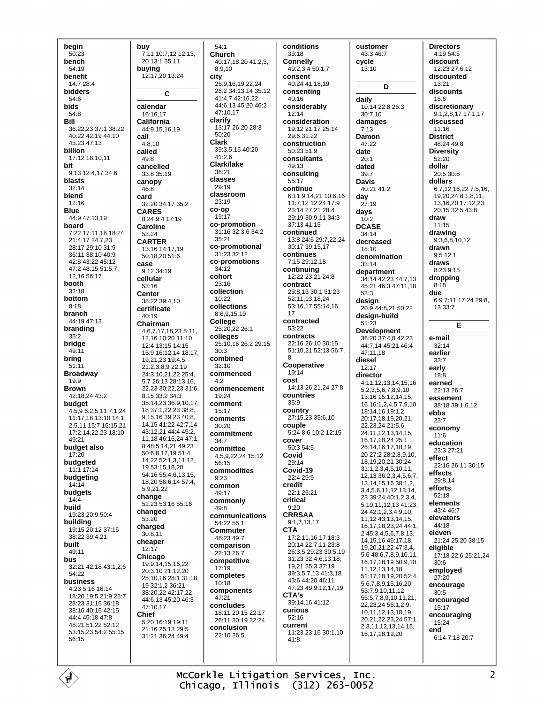begin  $50:23$ bench  $54.19$ henefit  $14.728.4$ **bidders** 54:6 **bids**  $54.8$ **Bill** 36:22,23 37:1 38:22 40:22 42:19 44:10 45:23 47:13 billion 17:12 18:10.11 hit 9:13 12:4,17 34:6 blasts  $32:14$ **blend**  $12.16$ **Blue** 44:9 47:13,19 board 7:22 17:11.18 18:24  $21.41724.723$ 28:17 29:10 31:9 36:11.38:10.40:9 42.8 43.22 45.12 47:2 48:15 51:5.7. 12,16 56:17 booth  $32:18$ bottom  $8:18$ **branch** 44:19 47:13 branding  $35:2$ bridae 49:11 bring  $51:11$ **Broadway**  $19.9$ **Brown** 42:18.24 43:2 budget 4:5,9 6:2,5,11 7:1,24 11:17,18 13:10 14:1, 2,5,11 15:7 16:15,21 17:2.14.22.23 18:10  $49.21$ budget also  $17:20$ budgeted  $11:1$  17:14 budgeting  $14.14$ budgets  $14:4$ build 19:23 20:9 50:4 building 19:15 20:12 37:15 38:22 39:4,21 built  $49.11$ bus 32:21 42:18 43:1,2,6  $54.22$ business 4:23 5:16 16:14 18:20 19:5 21:9 25:7 28:23 31:15 36:18 38:16 40:15 42:15 44:4 45:18 47:8 48:21 51:22 52:12 53:15.23 54:2 55:15 56:15

buv 7:11 10:7,12 12:13, 20 13:1 35:11 buying 12:17.20 13:24  $\mathbf c$ calendar 16:16,17 California 44:9.15.16.19 call  $4:8.10$ called 49:8 cancelled 33:8 35:19 canopy  $46.8$ card 32:20 34:17 35:2 **CARES** 8.24 9.4 17:19 Caroline 53:24 **CARTER** 13:16 14:17,19 50:18,20 51:6 case  $9.12.34.19$ cellular  $53.16$ **Center** 38:22 39:4.10 certificate  $40:19$ Chairman 4:6,7,17,18,23 5:11. 12,16 10:20 11:10 12:4 13:15 14:15 15:9 16:12,14 18:17, 19 21 23 19 4 5  $21.238922.19$ 24:3 10 21 22 25:4 5 7 26 13 28 13 16 22.23 30:22.23 31:6 8 15 33 2 34 3 35:14,23 36:9,10,17, 18 37:1,22,23 38:8, 9,15,16 39:23 40:8, 14, 15 41: 22 42: 7, 14 43:12,21 44:4 45:2, 11,18 46:16,24 47:1, 8 48:5,14,21 49:23 50:6,8,17,19 51:4, 14,22 52:1,3,11,12, 19 53:15 18.20 54:16 55:4.6.13.15. 18.20 56:6.14 57:4. 592122 change 51:23 53:16 55:16 changed 53:20 charged  $30.811$ cheaper  $12:17$ Chicago 19:9,14,15,16,22  $20.310211220$ 25:10.16 28:1 31:18. 19 32:1,2 36:21  $38.2022242.1722$ 44.6 13 45.20 46:3 47:10.17 **Chief** 5:20 16:19 19:11 21:16 25:13 29:5 31:21 36:24 49:4

 $54.1$ Church 40:17.18.20 41:2.5. 8910 city 25:9.16.19.22.24 26:2 34:13,14 35:12 41:4,7 42:16,22 44:6,13 45:20 46:2 47:10.17 clarify 13:17 26:20 28:3  $50:20$ Clark 39:3,5,15 40:20 41:2.6 Clark/lake  $38.21$ classes 29:19 classroom 23:19 co-on 19:17 co-promotion 31:16 32:3.6 34:2  $35.21$ co-promotional 31:23 32:12 co-promotions  $34.12$ cohort  $23:16$ collection  $10.22$ collections 8:6,9,15,19 College 25:20,22 26:1 colleges 25:10,16 26:2 29:15  $30.3$ combined  $32:10$ commenced  $4.2$ commencement  $19.24$ comment 15:17 comments  $30.20$ commitment  $34:7$ committee 4:5,9,22,24 15:12  $56.15$ commodities  $9:23$ common  $49.17$ commonly  $49.8$ communications 54:22 55:1 **Commuter** 48:23 49:7 comparison 22:13 26:7 competitive  $17:19$ completes  $10.18$ components  $47:21$ concludes 18:11 20:15 22:17 26:11 30:19 32:24 conclusion  $22.1026.5$ 

conditions  $39:18$ **Connelly**  $49.23450.17$ consent 40.24 41.18 19 consenting 40:16 considerably  $12.14$ consideration 19:12 21:17 25:14  $29.631.22$ construction  $50.2351.9$ consultants 49:13 consultina 55:17 continue 6:11 9:14.21 10:6.16 11.7 12 12:24 17:9 23:14 27:21 28:4 29:19 30:9,11 34:3  $37.1341.15$ continued 13:8 24:6 29:7,22,24 30:17 39:15,17 continues  $7.1529.1218$ continuing 12:22 23:21 24:8 contract 29:8.13 30:1 51:23 52.11 13 18 24 53:16,17 55:14,16,  $17$ contracted 53:22 contracts 22:16 26:10 30:15 51:10.21 52:13 56:7. я Cooperative 19:14 cost 14:13 26:21,24 27:8 countries  $35.9$ country 27:15,23 35:6,10 couple 5:24 8:6 10:2 12:15 cover 50:3 54:5 Covid  $29.14$ Covid-19  $22.429.9$ credit 22:1 25:21 critical  $9:20$ **CRRSAA** 9:1.7.13.17 **CTA** 17:2,11,16,17 18:3 20:14 22:7,11 23:8 26:3,5 29:23 30:5,19 31:23 32:4.6.13.18. 19.21 35:3 37:19 39:3,5,7,13 41:3,18 43:6 44:20 46:11 47:23 49:9.12.17.19 CTA's 39:14,16 41:12 curious 52:16 current 11:23 23:16 30:1.10  $41.8$ 

customer 43:3 46:7 cvcle  $13:10$ D daily 10:14 22:8 26:3 30:7,10 damages  $7:13$ Damon 47:22 date  $20:1$ dated  $39:7$ **Davis** 40:21 41.2 day  $27:19$ days  $10.2$ **DCASE** 34:14 decreased  $18:10$ denomination  $33.14$ department 34:14 42:23 44:7,13 45:21 46:3 47:11,18  $53:3$ design  $20.944.82150.22$ design-build  $51:23$ **Development** 36:20 37:4,8 42:23 44:7,14 45:21 46:4 47:11,18 diesel  $12.17$ director 4:11, 12, 13, 14, 15, 16  $5:2,3,5,6,7,8,9,10$ 13:16 15:12,14,15, 16 16:1.2.4.5.7.9.10 18:14.16 19:1.2 20:17 18 19 20 21 22.23.24 21:5.6 24:11 12 13 14 15 16 17 18 24 25 1 26:14.16.17.18.19. 20 27:2 28:2.8.9.10. 18, 19, 20, 21 30: 24 31:1,2,3,4,5,10,11, 12,13 36:2,3,4,5,6,7, 13, 14, 15, 16 38: 1, 2, 3,4,5,6,11,12,13,14, 23 39:24 40:1,2,3,4, 5,10,11,12,13 41:23, 24 42:1, 2, 3, 4, 9, 10, 11, 12 43: 13, 14, 15, 16.17.18.23.24 44:1. 2 45:3,4,5,6,7,8,13, 14.15.16 46:17.18. 19.20.21.22 47:3.4. 5.6 48:6.7.8.9.10.11 16 17 18 19 50 9 10 11.12.13.14.18 51:17,18,19,20 52:4, 5,6,7,8,9,15,16,20 53:7.9.10.11.12 55:5,7,8,9,10,11,21, 22, 23, 24 56: 1, 2, 9, 10,11,12,13,18,19, 20,21,22,23,24 57:1, 2,3,11,12,13,14,15, 16, 17, 18, 19, 20

**Directors** 4:19 54:5 discount  $12.2327612$ discounted  $13.21$ discounts 15:6 discretionary 9:1,2,8,17 17:1,17 discussed 11:16 **District** 48:24 49:8 **Diversity** 52:20 dollar 20:5 30:8 dollars 6:7.12.16.22 7:5.16. 19 20 24 8:1 8.11. 13 16 20 17:12 23  $20.1532.543.8$ draw  $11:15$ drawing  $9.3681012$ drawn  $9:5 12:1$ draws 8:23 9:15 dropping  $8.18$ due 6:9 7:11 17:24 29:8, 13 33:7 Е e-mail  $32:14$ earlier  $33.7$ early  $18.8$ earned 22:13 26:7 easement 38:18 39:1,6,12 ebbs  $23:7$ economy  $11:6$ education 23:3 27:21 effect 22:16 26:11 30:15 **effects** 29:8.14 efforts 52:18 elements  $43.446.7$ elevators 44:18 eleven 21:24 25:20 38:15 eligible 17:18 22:6 25:21.24  $30.6$ employed  $27:20$ encourage  $30.5$ encouraged 15:17 encouraging 15:24 end 6:14 7:18 20:7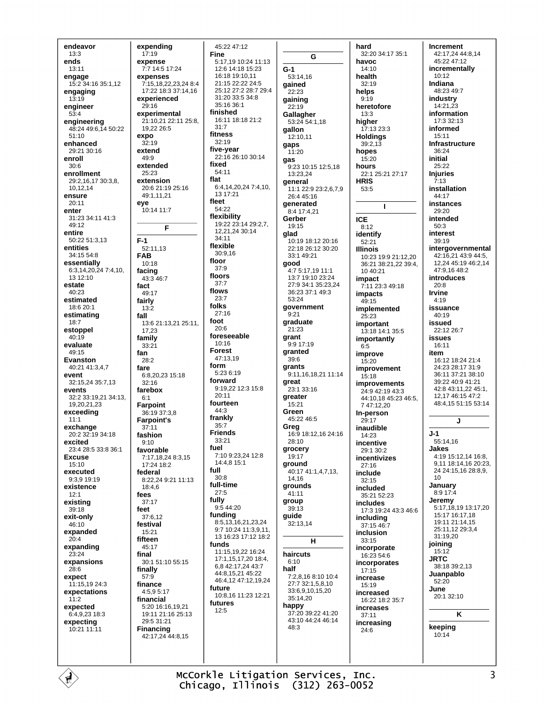endeavor  $13:3$ ends  $13.11$ engage 15:2 34:16 35:1,12 engaging  $13:19$ engineer  $53.4$ engineering 48:24 49:6,14 50:22  $51.10$ enhanced 29:21.30:16 enroll  $30 - 6$ enrollment 29:2,16,17 30:3,8, 10,12,14 ensure  $20:11$ enter 31:23 34:11 41:3 49:12 entire  $50.2251313$ entities 34:15 54:8 essentially 6:3,14,20,24 7:4,10, 13 12:10 estate  $40.23$ estimated 18:6 20:1 estimating  $18.7$ estoppel  $40.10$ evaluate  $49.15$ **Fyanston**  $40.2141347$ event 32:15,24 35:7,13 events 32:2 33:19,21 34:13, 19 20 21 23 exceeding  $11:1$ exchange 20:2 32:19 34:18 excited 23:4 28:5 33:8 36:1 **Fxcuse** 15:10 executed 9:3.9 19:19 existence  $12.1$ existing  $39:18$ exit-only  $46.10$ expanded  $20:4$ expanding 23:24 expansions  $28.6$ expect 11:15,19 24:3 expectations  $11:2$ expected 6:4,9,23 18:3 expecting 10:21 11:11

expending  $17:19$ expense 7:7 14:5 17:24 expenses 7:15,18,22,23,24 8:4 17:22 18:3 37:14 16 experienced  $29.16$ experimental 21:10 21 22:11 25:8 19.22 26:5 expo  $32:19$ extend  $49:9$ hehricha  $25:23$ extension 20:6 21:19 25:16  $49:1,11,21$ eve 10:14 11:7 F  $F-1$ 52:11,13 **FAB**  $10:18$ facing 43:3 46:7 fact 49:17 fairly  $13.2$ fall 13:6 21:13,21 25:11. 17,23 family  $33:21$ fan  $28.2$ fare 6:8,20,23 15:18  $32:16$ farebox  $6.1$ Farpoint 36:19 37:3.8 Farpoint's  $37:11$ fashion  $9.10$ favorable 7:17,18,24 8:3,15 17:24 18:2 federal 8.22.24.9.21.11.13  $18.46$ fees  $37.17$ feet 37:6.12 festival  $15.21$ fifteen 45:17 final  $30:151:1055:15$ finally  $57:9$ finance 4:5,9 5:17 financial 5:20 16:16,19,21 19:11 21:16 25:13 29:5 31:21 **Financing** 42:17,24 44:8,15

45:22 47:12 **Fine** 5:17.19 10:24 11:13 12.6 14.18 15.23 16:18 19:10.11  $21.152222245$ 25:12 27:2 28:7 29:4 31:20 33:5 34:8 35:16 36:1 finished 16:11 18:18 21:2  $31:7$ fitness  $32.19$ five-year 22:16 26:10 30:14 fixed  $54.11$ 6:4,14,20,24 7:4,10,  $13.17.21$ fleet  $54.22$ flexibility<br>19:22 23:14 29:2.7. 12 21 24 30 14  $34.11$ flexible 30:9,16 floor  $37.9$ floors  $37.7$ flows  $23.7$ folks  $27.16$  $20:6$ foreseeable  $10:16$ **Forest** 47:13.19 form 5:23 6:19 forward 9:19,22 12:3 15:8  $20.11$ fourteen 44:3 frankly  $35.7$ **Friends**  $33.21$ 7:10 9:23,24 12:8 14:4,8 15:1  $30.8$ full-time  $27:5$ fully  $9:544:20$ funding 8:5,13,16,21,23,24 9:7 10:24 11:3.9.11. 13 16:23 17:12 18:2 funds 11:15,19,22 16:24 17:1,15,17,20 18:4, 6.8 42:17,24 43:7 44:8,15,21 45:22 46:4.12 47:12.19.24 future 10:8,16 11:23 12:21 futures  $12.5$ 

flat

foot

fuel

full

G  $G-1$ 53:14,16 gained  $22.23$ gaining  $22.19$ Gallagher 53:24 54:1,18 gallon  $12:10.11$ qaps  $11:20$ gas 9:23 10:15 12:5,18 13:23.24 general  $11.122.923.2679$  $26.445.16$ generated 8:4 17:4.21 Gerber  $19.15$ glad 10:19 18:12 20:16 22:18.26:12.30:20 33:1 49:21 good 4:7 5:17,19 11:1 13:7 19:10 23:24 27:9.34:1.35:23.24 36:23 37:1 49:3  $53.24$ government  $9:21$ graduate  $21.23$ arant 9:9 17:19 granted  $39:6$ grants 9:11.16.18.21 11:14 great  $23.133.16$ greater 15:21 Green  $45.2246.5$ Grea 16:9 18:12,16 24:16  $28:10$ grocery  $19.17$ ground 40:17 41:1.4.7.13. 14.16 grounds  $41:11$ group  $39.13$ guide 32:13,14 н haircuts  $6:10$ half  $7:2.8.168:1010:4$ 27:7 32:1.5.8.10 33:6,9,10,15,20 35:14,20 happy 37:20 39:22 41:20 43:10 44:24 46:14 48:3

hard 32:20 34:17 35:1 havoc  $14.10$ health  $32.19$ helps  $9:19$ heretofore  $13:3$ higher 17:13 23:3 **Holdings**  $39:2.13$ hopes 15:20 hours 22:1 25:21 27:17 **HRIS** 53:5  $\mathbf{I}$ **ICE**  $8:12$ identify  $52:21$ **Illinois** 10:23 19:9 21:12.20  $36:21$   $38:21.22$   $39:4$ .  $10.40.21$ impact 7:11 23:3 49:18 impacts  $49.15$ implemented  $25.23$ important 13:18 14:1 35:5 importantly  $6.5$ improve  $15:20$ improvement  $15:18$ **imnrovements** 24:9 42:19 43:3 44:10 18 45:23 46:5 7 47:12,20 In-person  $29.17$ inaudible 14:23 incentive 29:1 30:2 incentivizes  $27:16$ include  $32.15$ included 35:21 52:23 includes 17:3 19:24 43:3 46:6 including 37:15 46:7 inclusion  $33:15$ incorporate  $16.23546$ incorporates  $17.15$ increase  $15.19$ increased 16:22 18:2 35:7 increases  $37:11$ increasing  $24.6$ 

Increment 42:17,24 44:8,14 45:22 47:12 incrementally  $10:12$ Indiana 48.23.49.7 industry 14:21,23 information  $17.332.13$ informed  $15:11$ Infrastructure  $36.24$ initial  $25.22$ **Injuries**  $7:13$ installation  $44.17$ instances 29:20 intended  $50.3$ interest  $39.19$ intergovernmental 42:16.21 43:9 44:5. 12,24 45:19 46:2,14 47:9,16 48:2 **introduces**  $20.8$ **Irvine**  $4:19$ issuance  $40:19$ issued 22:12 26:7 issues  $16:11$ item 16:12 18:24 21:4 24:23.28:17.31:9 36:11.37:21.38:10 39:22 40:9 41:21 42:8 43:11,22 45:1, 12 17 46:15 47:2 48:4,15 51:15 53:14 J  $J-1$ 55:14.16 **Jakes**  $4.19$  15.12 14 16.8 9,11 18:14,16 20:23, 24 24:15.16 28:8.9.  $10$ January 8:9 17:4 Jeremy  $5:17.18.19$  13:17.20 15:17 16:17 18 19:11 21:14.15 25:11 12 29:3 4  $31.1920$ joining  $15:12$ **JRTC** 38:18.39:2.13 Juanpablo 52:20 June 20:1 32:10 K keeping  $10.14$ 

McCorkle Litigation Services, Inc. Chicago, Illinois (312) 263-0052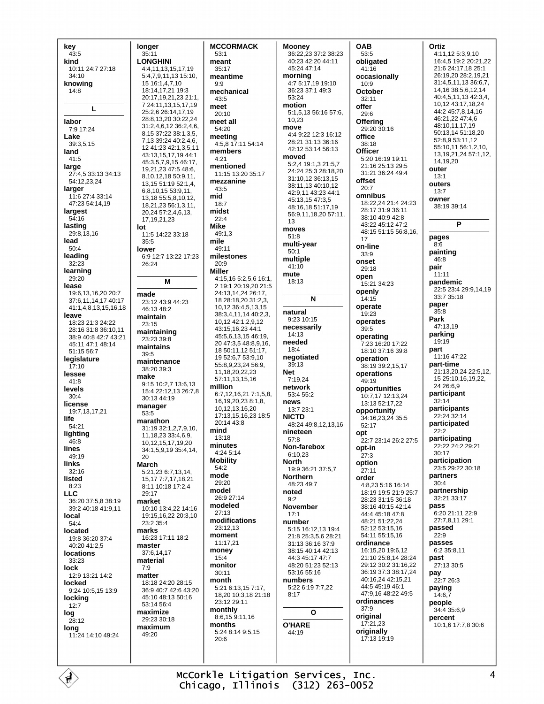key  $43:5$ kind 10:11 24:7 27:18  $34:10$ knowing  $14:8$ L labor 7:9 17:24 Lake 39:3,5,15 land  $41:5$ large 27:4,5 33:13 34:13 54:12,23,24 larger 11:6 27:4 33:14 47:23 54:14,19 largest  $54.16$ lasting  $29:8,13,16$ lead  $50:4$ leading  $32:23$ learning  $29.20$ lease 19:6,13,16,20 20:7 37:6.11.14.17 40:17 41:1,4,8,13,15,16,18 leave  $18:23$  21:3 24:22 28:16.31:8.36:10.11 38:9 40:8 42:7 43:21 45:11 47:1 48:14 51:15 56:7 legislature  $17:10$ lessee  $41.8$ levels  $30:4$ license 19:7,13,17.21 life  $54.21$ lighting -<br>46:8 lines  $49.19$ links  $32:16$ listed  $8:23$ **LLC** 36:20 37:5 8 38:19 39:2 40:18 41:9 11 local 54:4 located 19:8 36:20 37:4  $40.2041.25$ locations  $33.23$ lock 12:9 13:21 14:2 locked 9:24 10:5 15 13:9 locking  $12:7$ log  $28.12$ long 11:24 14:10 49:24

longer  $35:11$ **LONGHINI** 4:4,11,13,15.17.19  $5:4.7.9.11.1315:10.$ 15 16 1 4 7 10 18:14.17.21 19:3 20:17,19,21,23 21:1, 7 24:11,13,15,17,19 25:2.6 26:14.17.19 28:8,13,20 30:22,24 31:2,4,6,12 36:2,4,6, 8,15 37:22 38:1,3,5, 7,13 39:24 40:2,4,6, 12 41:23 42:1,3,5,11 43:13,15,17,19 44:1 45:3,5,7,9,15 46:17, 19,21,23 47:5 48:6, 8,10,12,18 50:9,11, 13 15 51 19 52 14 6.8.10.15 53:9.11 13.18 55:5.8.10.12. 18.21.23 56:1.3.11. 20.24 57:2.4.6.13. 17, 19, 21, 23 lot 11:5 14:22 33:18  $35:5$ lower 6:9 12:7 13:22 17:23  $26.24$ M made 23:12 43:9 44:23 46:13 48:2 maintain 23:15 maintaining  $23.23.39.8$ maintains 39:5 maintenance 38:20 39:3 make 9:15 10:2,7 13:6,13 15:4 22:12.13 26:7.8 30:13 44:19 manager 53:5 marathon  $31.1932.127910$ 11.18.23 33:4.6.9. 10, 12, 15, 17, 19, 20 34:1,5,9,19 35:4,14,  $20$ **March** 5:21,23 6:7,13,14, 15, 17 7: 7, 17, 18, 21 8:11 10:18 17:2.4  $29.17$ market 10:10 13:4,22 14:16 19:15,16,22 20:3,10 23:2 35:4 marks 16:23 17:11 18:2 master 37:6.14.17 material  $7:9$ matter 18:18 24:20 28:15 36:9 40:7 42:6 43:20 45:10 48:13 50:16  $53.14564$ maximize 29:23 30:18 maximum  $49.20$ 

**MCCORMACK**  $53:1$ meant  $35.17$ meantime mechanical 43:5 meet  $20:10$ meet all 54:20 meeting 4:5,8 17:11 54:14 members  $4:21$ mentioned 11:15 13:20 35:17 mezzanine  $43:5$  $18:7$ midst  $22:4$ **Mike**  $49.13$ 49:11 milestones  $20.9$ Miller 4:15,16 5:2,5,6 16:1. 2 19:1 20:19,20 21:5 24:13,14,24 26:17, 18 28:18,20 31:2,3, 10,12 36:4,5,13,15 38:3,4,11,14 40:2,3, 10,12 42:1,2,9,12 43:15.16.23 44:1 45:5.6.13.15 46:19 20 47:3.5 48:8.9.16. 18 50 11 12 51 17 19 52:6.7 53:9.10 55:8,9,23,24 56:9, 11 18 20 22 23  $57:11$  13 15 16 million 6:7,12,16,21 7:1,5,8, 16, 19, 20, 23 8:1, 8, 10 12 13 16 20 17:13,15,16,23 18:5 20:14 43:8 mind  $13.18$ minutes 4:24 5:14 **Mobility**  $54.2$ mode 29:20 model 26:9.27:14 modeled  $27.13$ modifications 23:12,13 moment 11:17.21 money  $15:4$ monitor  $30:11$ month 5.21 6.13 15 7.17 18,20 10:3,18 21:18  $23.1229.11$ monthly 8:6,159:11,16 months 5:24 8:14 9:5,15  $20.6$ 

 $Q \cdot Q$ 

mid

mile

**Mooney** 36:22,23 37:2 38:23 40:23 42:20 44:11 45:24 47:14 morning  $4:75:17.1919:10$ 36:23.37:1.49:3  $53.24$ motion 5:1,5,13 56:16 57:6, 10.23 move 4:4 9:22 12:3 16:12 28:21.31:13.36:16 42:12 53:14 56:13 moved 5:2,4 19:1,3 21:5,7 24:24 25:3 28:18,20 31:10.12 36:13.15 38:11,13 40:10,12 42:9,11 43:23 44:1 45:13,15 47:3,5 48:16.18 51:17.19 56:9.11.18.20 57:11. 13 moves  $51:8$ multi-year  $50:1$ multiple  $41.10$ mute  $18:13$ N natural 9:23 10:15 necessarily  $14.13$ needed  $18:4$ negotiated  $39:13$ **Net** 7:19,24 network  $53.455.2$ news 13:7 23:1 **NICTD** 48:24 49:8,12,13,16 nineteen  $57:8$ Non-farebox  $6:10.23$ **North** 19:9 36:21 37:5,7 **Northern** 48.23.49.7 noted  $Q \cdot 2$ **November**  $17.1$ number 5:15 16:12 13 19:4 21:8 25:3.5.6 28:21 31:13 36:16 37:9 38:15 40:14 42:13  $44.345.1747.7$ 48:20 51:23 52:13 53:16 55:16 numbers 5:22 6:19 7:7,22  $8.17$  $\mathbf{o}$ **O'HARE**  $44.19$ 

OAB 53:5 obligated  $41.16$ occasionallv  $10:9$ October 32:11 offer  $29.6$ Offering 29:20 30:16 office 38:18 **Officer** 5:20 16:19 19:11 21:16.25:13.29:5 31:21 36:24 49:4 offset  $20:7$ omnibus 18:22.24 21:4 24:23 28:17 31:9 36:11 38:10 40:9 42:8 43.22 45.12 47.2 48:15 51:15 56:8,16, 17 on-line  $33.9$ onset  $29.18$ open 15:21 34:23 openly  $14.15$ operate 19:23 operates  $39.5$ operating 7:23 16:20 17:22 18:10 37:16 39:8 operation 38:19 39:2,15,17 operations  $49.19$ opportunities 10:7,17 12:13,24 13:13 52:17,22 opportunity 34:16,23,24 35:5  $52.17$ opt 22:7 23:14 26:2 27:5 opt-in  $27:3$ option  $27.11$ order 4:8.23 5:16 16:14 18:19 19:5 21:9 25:7 28:23 31:15 36:18 38:16 40:15 42:14 44:4 45:18 47:8 48:21 51:22,24 52:12 53:15,16 54:11 55:15,16 ordinance 16:15.20 19:6.12 21:10 25:8,14 28:24 29:12 30:2 31:16,22 36:19 37:3 38:17 24 40:16,24 42:15,21  $44.545.19461$ 47:9,16 48:22 49:5 ordinances  $37:9$ original  $17:21,23$ originally 17:13 19:19

Ortiz 4:11,12 5:3,9,10 16:4.5 19:2 20:21.22 21:6 24:17,18 25:1 26:19,20 28:2,19,21 31:4,5,11,13 36:6,7, 14, 16 38:5, 6, 12, 14 40:45 11 13 42:34 10.12 43:17.18.24  $44.245.781416$ 46:21.22 47:4.6 48:10.11.17.19 50:13,14 51:18,20  $52.8953.1112$ 55:10,11 56:1,2,10, 13, 19, 21, 24 57: 1, 12, 14,19,20 outer  $13:1$ **Outers**  $13:7$ owner 38:19 39:14 P pages  $R - G$ painting 46:8 pair  $11:11$ pandemic 22:5 23:4 29:9,14,19 33:7 35:18 paper  $35.8$ Park  $47.1319$ parking  $19.19$ part 11:16 47:22 part-time 21:13.20.24 22:5.12. 15 25:10,16,19,22,  $24.26.69$ participant  $32:14$ participants 22:24 32:14 participated  $22.2$ participating 22:22 24:2 29:21  $30.17$ participation 23:5 29:22 30:18 partners  $30:4$ partnership 32:21 33:17 pass 6:20 21:11 22:9 27:7,8,11 29:1 passed  $22:9$ passes  $6.235.811$ past  $27.13.30.5$ pay 22:7 26:3 paying  $14:6.\bar{7}$ people 34:4 35:6,9 percent 10:1,6 17:7,8 30:6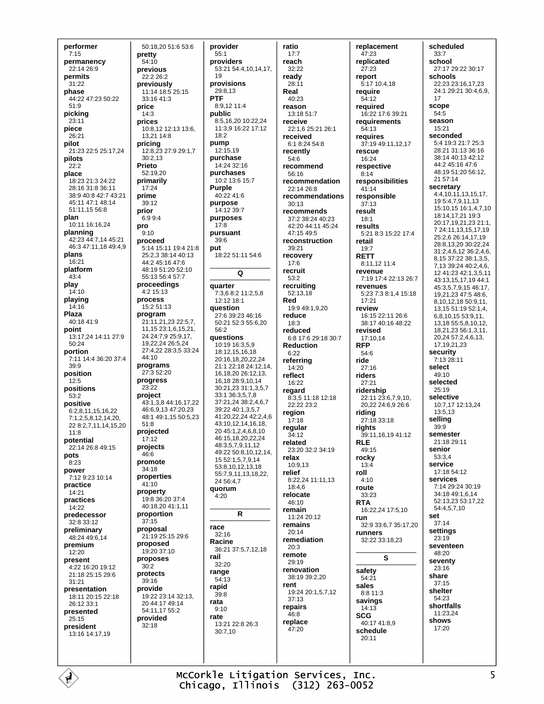performer  $7:15$ permanency  $22.1426.9$ permits  $31.22$ phase 44:22 47:23 50:22  $51.9$ picking  $23.11$ piece 26:21 pilot 21:23 22:5 25:17.24 pilots  $22.2$ place 18:23 21:3 24:22 28:16 31:8 36:11 38:9 40:8 42:7 43:21 45:11 47:1 48:14  $51.1111556.8$ plan 10:11 16:16,24 planning 42:23 44:7,14 45:21 46:3 47:11,18 49:4,9 plans  $16.21$ platform  $43:4$ play  $14.10$ playing  $14:16$ Plaza 40:18 41:9 point 13:17,24 14:11 27:9  $50.24$ portion 7:11 14:4 36:20 37:4  $39:9$ position  $12.5$ positions  $53.2$ positive 6:2,8,11,15,16,22 7:1.2.5.8.12.14.20. 22 8:2,7,11,14,15,20  $11.8$ potential 22:14 26:8 49:15 pots  $8.23$ power 7:12 9:23 10:14 practice  $14.21$ practices 14:22 predecessor  $32.833.12$ preliminary 48:24 49:6,14 premium  $12.20$ present 4:22 16:20 19:12 21:18 25:15 29:6  $31:21$ presentation 18:11 20:15 22:18 26:12 33:1 presented  $25:15$ president 13:16 14:17.19

É

50:18,20 51:6 53:6 pretty  $54.10$ previous  $22.226.2$ previously 11:14 18:5 25:15 33:16 41:3 price  $14.3$ prices 10:8,12 12:13 13:6, 13,21 14:8 pricing 12:8.23 27:9 29:1.7  $30:2.13$ **Printo** 52:19.20 primarily 17:24 prime  $39.12$ prior  $6:9.9:4$ pro  $9.10$ proceed 5:14 15:11 19:4 21:8 25:2.3.38:14 40:13  $44.245.16476$ 48:19 51:20 52:10 55:13 56:4 57:7 proceedings  $4.215.13$ process 15:2 51:13 program 21:11,21,23 22:5,7, 11, 15 23:1, 6, 15, 21, 24 24:7.9 25:9.17. 19,22,24 26:5,24 27:4 22 28:3.5 33:24  $44.10$ programs 27:3 52:20 progress 23:22 project 43.1 3 8 44.16 17 22 46.691347.2023 48:1 49:1.15 50:5.23  $51:8$ projected  $17:12$ projects 46:6 promote 34:18 properties  $41:10$ property 19:8 36:20 37:4 40:18.20 41:1.11 proportion  $37:15$ proposal  $21.1925.15296$ proposed 19:20 37:10 proposes  $30:2$ protects  $30.16$ provide 19:22 23:14 32:13, 20 44:17 49:14 54:11,17 55:2 provided  $32:18$ 

provider  $55:1$ providers 53:21 54:4,10,14,17, provisions 29:8,13 **PTF** 8:9.12 11:4 public 8:5.16.20 10:22.24 11:3,9 16:22 17:12  $18.2$ pump 12:15,19 purchase 14:24 32:16 purchases 10:2 13:6 15:7 **Purple** 40:22 41:6 purpose 14:12 39:7 purposes  $17:8$ pursuant  $39.6$ 18:22 51:11 54:6  $\Omega$ quarter 7:3,6 8:2 11:2,5,8 12:12 18:1 question 27.6.39.23.46.16  $50.21$   $52.3$   $55.6$  20  $56.2$ questions 10:19 16:3,5,9 18:12,15,16,18 20:16,18,20,22,24 21:1 22:18 24:12,14, 16, 18, 20 26: 12, 13, 16.18 28:9.10.14 30:21.23 31:1.3.5.7  $33.1363578$  $37.21$  24  $38.2$  4 6 7 39:22 40:1.3.5.7 41.20.22.24 42:2.4 6 43:10.12.14.16.18. 20 45:1,2,4,6,8,10 46:15,18,20,22,24 48:3,5,7,9,11,12 49:22 50:8,10,12,14, 15 52:1,5,7,9,14 53:8,10,12,13,18 55:7,9,11,13,18,22, 24 56:4.7 quorum  $4:20$  $\mathbf R$ race  $32.16$ Racine 36:21 37:5,7,12,18  $32.20$ range  $54:13$ rapid  $39.8$ rata  $9.10$ rate 13:21 22:8 26:3 30:7,10

 $19$ 

put

rail

ratio  $17:7$ reach  $32.22$ ready  $28:11$ Real  $40:23$ reason  $13.1851.7$ receive 22:1,6 25:21 26:1 received 6:1 8:24 54:8 recently 54:6 recommend 56:16 recommendation  $22.1426.8$ recommendations  $30:13$ recommends 37:2 38:24 40:23 42:20 44:11 45:24 47:15 49:5 reconstruction 39:21 recovery  $17.6$ recruit  $53:2$ recruiting 52:13,18 Red 19:9 49:1,9,20 reduce  $18:3$ reduced 6:8 17:6 29:18 30:7 **Reduction**  $6.22$ referring  $14:20$ reflect 16:22 regard 8:3,5 11:18 12:18  $22.22223.2$ region  $17:18$ regular  $34.12$ related 23:20 32:2 34:19 relax  $10.913$ relief ------<br>8:22.24 11:11.13  $18.46$ relocate  $46.10$ remain  $11.2420.12$ remains  $20:14$ remediation  $20.3$ remote 29:19 renovation 38:19 39:2,20 rent 19:24 20:1,5,7,12  $37:13$ repairs  $46:8$ replace  $47.20$ 

replacement  $47:23$ replicated  $27.23$ renort 5:17 10:4.18 require 54:12 reauired 16:22 17:6 39:21 requirements 54:13 requires 37:19 49:11,12,17 **TASCUA** 16:24 respective  $8:14$ responsibilities  $41:14$ responsible  $37.13$ result  $18:1$ results 5:21 8:3 15:22 17:4 retail  $19:7$ **RETT**  $8.11121114$ revenue 7:19 17:4 22:13 26:7 revenues 5:23 7:3 8:1,4 15:18  $17:21$ review 16:15 22:11 26:6 38:17 40:16 48:22 revised 17:10.14 **RFP**  $54.6$ ride  $27.16$ riders  $27:21$ ridership  $22.11$   $23.67910$ 20,22 24:6,9 26:6 riding 27:18 33:18 riahts 39:11, 16, 19 41:12 **RLE** 49:15 rocky  $13:4$ roll  $4.10$ route 33:23 **RTA** 16:22.24.17:5.10 run 32:9 33:6,7 35:17,20 runners 32:22 33:18,23 S safety 54:21 sales 8:8 11:3 savings 14:13 **SCG**  $40.1741.89$ schedule  $20:11$ 

scheduled  $33:7$ school 27:17 29:22 30:17 schools 22:23 23:16.17.23 24:1 29:21 30:4,6,9,  $17$ scope 54:5 season  $15:21$ seconded 5:4 19:3 21:7 25:3 28:21 31:13 36:16 38:14 40:13 42:12 44:2 45:16 47:6 48:19 51:20 56:12,  $21.57 \cdot 14$ secretary  $4:4,10,11,13,15,17.$ 19 5:4,7,9,11,13 15:10,15 16:1,4,7,10 18:14,17,21 19:3 20:17,19,21,23 21:1, 7 24:11,13,15,17,19 25:2,6 26:14,17,19 28:8,13,20 30:22,24 31:2,4,6,12 36:2,4,6, 8,15 37:22 38:1,3,5, 7,13 39:24 40:2,4,6,  $1241:2342:13511$ 43:13.15.17.19.44:1 45:3.5.7.9.15.46:17 19.21.23 47:5 48:6. 8 10 12 18 50 9 11 13, 15 51: 19 52: 1, 4, 68101553911 13,18 55:5,8,10,12, 18,21,23 56:1,3,11, 20,24 57:2,4,6,13, 17, 19, 21, 23 security  $7.1328.11$ select  $49.10$ selected  $25.19$ selective 10:7.17 12:13.24  $13:513$ selling 39:9 semester 21:18 29:11 senior 53:3,4 service 17:18 54:12 services 7:14 29:24 30:19  $34.18491614$ 52:13 23 53:17 22 54:4,5,7,10 set  $37:14$ settinas  $23.19$ seventeen  $48.20$ seventy 23:16 share  $37.15$ shelter 54:23 shortfalls 11:23,24 shows 17:20